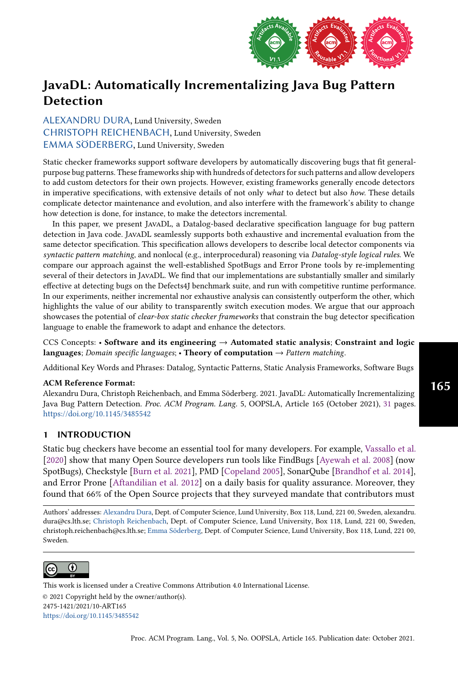

[ALEXANDRU DURA,](HTTPS://ORCID.ORG/0000-0002-8420-390X) Lund University, Sweden [CHRISTOPH REICHENBACH,](HTTPS://ORCID.ORG/0000-0003-0608-7023) Lund University, Sweden [EMMA SÖDERBERG,](HTTPS://ORCID.ORG/0000-0001-7966-4560) Lund University, Sweden

Static checker frameworks support software developers by automatically discovering bugs that fit generalpurpose bug patterns. These frameworks ship with hundreds of detectors for such patterns and allow developers to add custom detectors for their own projects. However, existing frameworks generally encode detectors in imperative specifications, with extensive details of not only what to detect but also how. These details complicate detector maintenance and evolution, and also interfere with the framework's ability to change how detection is done, for instance, to make the detectors incremental.

In this paper, we present JavaDL, a Datalog-based declarative specification language for bug pattern detection in Java code. JavaDL seamlessly supports both exhaustive and incremental evaluation from the same detector specification. This specification allows developers to describe local detector components via syntactic pattern matching, and nonlocal (e.g., interprocedural) reasoning via Datalog-style logical rules. We compare our approach against the well-established SpotBugs and Error Prone tools by re-implementing several of their detectors in JavaDL. We find that our implementations are substantially smaller and similarly effective at detecting bugs on the Defects4J benchmark suite, and run with competitive runtime performance. In our experiments, neither incremental nor exhaustive analysis can consistently outperform the other, which highlights the value of our ability to transparently switch execution modes. We argue that our approach showcases the potential of clear-box static checker frameworks that constrain the bug detector specification language to enable the framework to adapt and enhance the detectors.

CCS Concepts: • Software and its engineering → Automated static analysis; Constraint and logic languages; Domain specific languages; • Theory of computation  $\rightarrow$  Pattern matching.

Additional Key Words and Phrases: Datalog, Syntactic Patterns, Static Analysis Frameworks, Software Bugs

#### ACM Reference Format:

Alexandru Dura, Christoph Reichenbach, and Emma Söderberg. 2021. JavaDL: Automatically Incrementalizing Java Bug Pattern Detection. Proc. ACM Program. Lang. 5, OOPSLA, Article 165 (October 2021), [31](#page-30-0) pages. <https://doi.org/10.1145/3485542>

# 1 INTRODUCTION

Static bug checkers have become an essential tool for many developers. For example, [Vassallo et al.](#page-30-1) [\[2020\]](#page-30-1) show that many Open Source developers run tools like FindBugs [\[Ayewah et al.](#page-27-0) [2008\]](#page-27-0) (now SpotBugs), Checkstyle [\[Burn et al.](#page-27-1) [2021\]](#page-27-1), PMD [\[Copeland 2005\]](#page-27-2), SonarQube [\[Brandhof et al.](#page-27-3) [2014\]](#page-27-3), and Error Prone [\[Aftandilian et al.](#page-27-4) [2012\]](#page-27-4) on a daily basis for quality assurance. Moreover, they found that 66% of the Open Source projects that they surveyed mandate that contributors must

Authors' addresses: [Alexandru Dura,](https://orcid.org/0000-0002-8420-390X) Dept. of Computer Science, Lund University, Box 118, Lund, 221 00, Sweden, alexandru. dura@cs.lth.se; [Christoph Reichenbach,](https://orcid.org/0000-0003-0608-7023) Dept. of Computer Science, Lund University, Box 118, Lund, 221 00, Sweden, christoph.reichenbach@cs.lth.se; [Emma Söderberg,](https://orcid.org/0000-0001-7966-4560) Dept. of Computer Science, Lund University, Box 118, Lund, 221 00, Sweden.



This work is licensed under a Creative Commons Attribution 4.0 International License. © 2021 Copyright held by the owner/author(s). 2475-1421/2021/10-ART165 <https://doi.org/10.1145/3485542>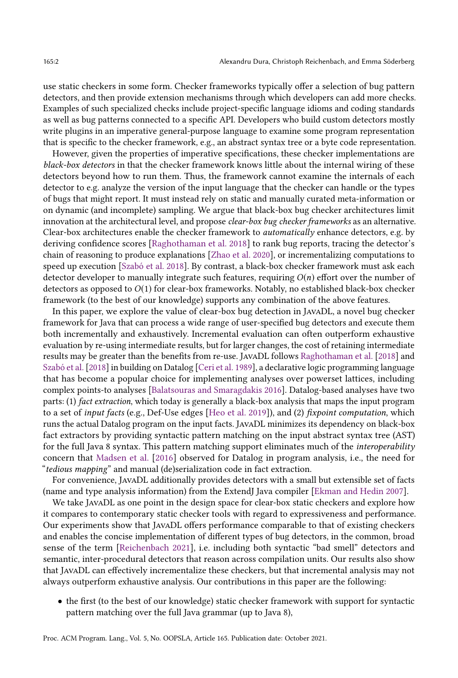use static checkers in some form. Checker frameworks typically offer a selection of bug pattern detectors, and then provide extension mechanisms through which developers can add more checks. Examples of such specialized checks include project-specific language idioms and coding standards as well as bug patterns connected to a specific API. Developers who build custom detectors mostly write plugins in an imperative general-purpose language to examine some program representation that is specific to the checker framework, e.g., an abstract syntax tree or a byte code representation.

However, given the properties of imperative specifications, these checker implementations are black-box detectors in that the checker framework knows little about the internal wiring of these detectors beyond how to run them. Thus, the framework cannot examine the internals of each detector to e.g. analyze the version of the input language that the checker can handle or the types of bugs that might report. It must instead rely on static and manually curated meta-information or on dynamic (and incomplete) sampling. We argue that black-box bug checker architectures limit innovation at the architectural level, and propose clear-box bug checker frameworks as an alternative. Clear-box architectures enable the checker framework to automatically enhance detectors, e.g. by deriving confidence scores [\[Raghothaman et al.](#page-29-0) [2018\]](#page-29-0) to rank bug reports, tracing the detector's chain of reasoning to produce explanations [\[Zhao et al.](#page-30-2) [2020\]](#page-30-2), or incrementalizing computations to speed up execution [\[Szabó et al.](#page-29-1) [2018\]](#page-29-1). By contrast, a black-box checker framework must ask each detector developer to manually integrate such features, requiring  $O(n)$  effort over the number of detectors as opposed to O(1) for clear-box frameworks. Notably, no established black-box checker framework (to the best of our knowledge) supports any combination of the above features.

In this paper, we explore the value of clear-box bug detection in JavaDL, a novel bug checker framework for Java that can process a wide range of user-specified bug detectors and execute them both incrementally and exhaustively. Incremental evaluation can often outperform exhaustive evaluation by re-using intermediate results, but for larger changes, the cost of retaining intermediate results may be greater than the benefits from re-use. JavaDL follows [Raghothaman et al.](#page-29-0) [\[2018\]](#page-29-0) and [Szabó et al.](#page-29-1) [\[2018\]](#page-29-1) in building on Datalog [\[Ceri et al.](#page-27-5) [1989\]](#page-27-5), a declarative logic programming language that has become a popular choice for implementing analyses over powerset lattices, including complex points-to analyses [\[Balatsouras and Smaragdakis 2016\]](#page-27-6). Datalog-based analyses have two parts: (1) fact extraction, which today is generally a black-box analysis that maps the input program to a set of input facts (e.g., Def-Use edges [\[Heo et al.](#page-28-0) [2019\]](#page-28-0)), and (2) fixpoint computation, which runs the actual Datalog program on the input facts. JavaDL minimizes its dependency on black-box fact extractors by providing syntactic pattern matching on the input abstract syntax tree (AST) for the full Java 8 syntax. This pattern matching support eliminates much of the interoperability concern that [Madsen et al.](#page-28-1) [\[2016\]](#page-28-1) observed for Datalog in program analysis, i.e., the need for "tedious mapping" and manual (de)serialization code in fact extraction.

For convenience, JavaDL additionally provides detectors with a small but extensible set of facts (name and type analysis information) from the ExtendJ Java compiler [\[Ekman and Hedin 2007\]](#page-28-2).

We take JavaDL as one point in the design space for clear-box static checkers and explore how it compares to contemporary static checker tools with regard to expressiveness and performance. Our experiments show that JavaDL offers performance comparable to that of existing checkers and enables the concise implementation of different types of bug detectors, in the common, broad sense of the term [\[Reichenbach 2021\]](#page-29-2), i.e. including both syntactic "bad smell" detectors and semantic, inter-procedural detectors that reason across compilation units. Our results also show that JavaDL can effectively incrementalize these checkers, but that incremental analysis may not always outperform exhaustive analysis. Our contributions in this paper are the following:

• the first (to the best of our knowledge) static checker framework with support for syntactic pattern matching over the full Java grammar (up to Java 8),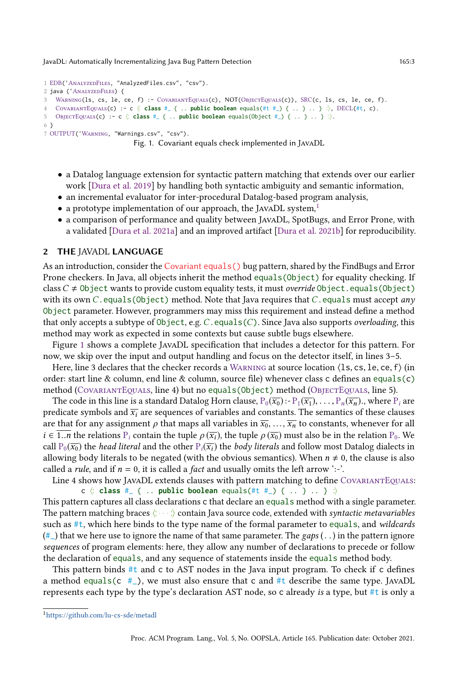```
1 EDB('AnalyzedFiles, "AnalyzedFiles.csv", "csv").
2 java ('AnalyzedFiles) {
   WARNING(1s, cs, le, ce, f) :- COVARIANTEQUALS(c), NOT(OBJECTEQUALS(c)), SRC(c, ls, cs, le, ce, f).
4 CovariantEqals(c) :- c ⟨.
.
class #_ { .. public boolean equals(#t #_) { .. } .. } .
.
⟩, DECL(#t, c).
5 OBJECTEQUALS(c) :- c \langle: class #_ { .. public boolean equals(Object #_) { .. } .. } \langle.
6 }
7 OUTPUT('Warning, "Warnings.csv", "csv").
```

```
Fig. 1. Covariant equals check implemented in JavaDL
```
- a Datalog language extension for syntactic pattern matching that extends over our earlier work [\[Dura et al. 2019\]](#page-27-7) by handling both syntactic ambiguity and semantic information,
- an incremental evaluator for inter-procedural Datalog-based program analysis,
- a prototype implementation of our approach, the JAVADL system, $<sup>1</sup>$  $<sup>1</sup>$  $<sup>1</sup>$ </sup>
- a comparison of performance and quality between JavaDL, SpotBugs, and Error Prone, with a validated [\[Dura et al.](#page-28-3) [2021a\]](#page-28-3) and an improved artifact [\[Dura et al.](#page-28-4) [2021b\]](#page-28-4) for reproducibility.

## <span id="page-2-2"></span>2 THE JAVADL LANGUAGE

As an introduction, consider the Covariant equals() bug pattern, shared by the FindBugs and Error Prone checkers. In Java, all objects inherit the method equals(Object) for equality checking. If class  $C \neq 0$ bject wants to provide custom equality tests, it must *override* 0bject.equals(0bject) with its own C. equals(Object) method. Note that Java requires that C. equals must accept any Object parameter. However, programmers may miss this requirement and instead define a method that only accepts a subtype of Object, e.g.  $C$ . equals( $C$ ). Since Java also supports overloading, this method may work as expected in some contexts but cause subtle bugs elsewhere.

Figure [1](#page-2-1) shows a complete JavaDL specification that includes a detector for this pattern. For now, we skip over the input and output handling and focus on the detector itself, in lines 3–5.

Here, line 3 declares that the checker records a WARNING at source location  $\langle$ 1s, cs, 1e, ce, f $\rangle$  (in order: start line & column, end line & column, source file) whenever class c defines an equals(c) method (COVARIANTEQUALS, line 4) but no equals (Object) method (OBJECTEQUALS, line 5).

The code in this line is a standard Datalog Horn clause,  $P_0(\overline{x_0}) - P_1(\overline{x_1}), \ldots, P_n(\overline{x_n})$ , where  $P_i$  are predicate symbols and  $\overline{x_i}$  are sequences of variables and constants. The semantics of these clauses are that for any assignment  $\rho$  that maps all variables in  $\overline{x_0}, \ldots, \overline{x_n}$  to constants, whenever for all  $i \in \overline{1..n}$  the relations  $P_i$  contain the tuple  $\rho(\overline{x_i})$ , the tuple  $\rho(\overline{x_0})$  must also be in the relation  $P_0$ . We call  $P_0(\overline{x_0})$  the *head literal* and the other  $P_i(\overline{x_i})$  the *body literals* and follow most Datalog dialects in allowing body literals to be negated (with the obvious semantics). When  $n \neq 0$ , the clause is also called a *rule*, and if  $n = 0$ , it is called a *fact* and usually omits the left arrow ':-'.

Line 4 shows how JavaDL extends clauses with pattern matching to define COVARIANTEQUALS:  $c \left\langle \begin{array}{c} \text{class} \\ \text{class} \end{array} \right. + \begin{array}{c} \text{public boolean equals}(\text{#t } \text{#}_{-}) \left\{ \begin{array}{c} \text{...} \end{array} \right\} \right. \ . \ . \end{array}$ 

This pattern captures all class declarations c that declare an equals method with a single parameter. The pattern matching braces  $\langle \cdots \rangle$  contain Java source code, extended with syntactic metavariables such as #t, which here binds to the type name of the formal parameter to equals, and wildcards  $(\#_{-})$  that we here use to ignore the name of that same parameter. The gaps (...) in the pattern ignore sequences of program elements: here, they allow any number of declarations to precede or follow the declaration of equals, and any sequence of statements inside the equals method body.

This pattern binds #t and c to AST nodes in the Java input program. To check if c defines a method equals(c  $\#$ ), we must also ensure that c and  $\#$ t describe the same type. JAVADL represents each type by the type's declaration AST node, so c already is a type, but #t is only a

<span id="page-2-0"></span><sup>1</sup><https://github.com/lu-cs-sde/metadl>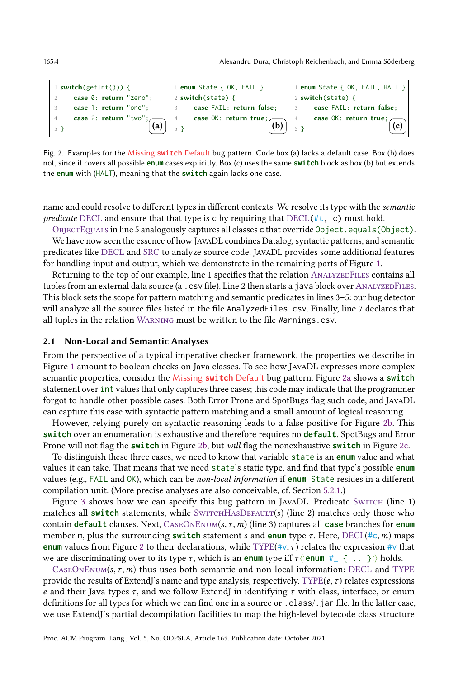165:4 Alexandru Dura, Christoph Reichenbach, and Emma Söderberg

```
1 switch(getInt())) {
2 case 0: return "zero";
3 case 1: return "one";
4 case 2: return "two"
5 }
                          (a)
                                1 enum State { OK, FAIL }
                                2 switch(state) {
                                3 case FAIL: return false;
                                4 case OK: return true;
                                5 }
                                                           (b)
                                                                 1 enum State { OK, FAIL, HALT }
                                                                 2 switch(state) {
                                                                 3 case FAIL: return false;
                                                                 4 case OK: return true;
                                                                 5 }
                                                                                            (c)
```
<span id="page-3-0"></span>Fig. 2. Examples for the Missing **switch** Default bug pattern. Code box (a) lacks a default case. Box (b) does not, since it covers all possible **enum** cases explicitly. Box (c) uses the same **switch** block as box (b) but extends the **enum** with (HALT), meaning that the **switch** again lacks one case.

name and could resolve to different types in different contexts. We resolve its type with the semantic predicate DECL and ensure that that type is c by requiring that  $DECL(\#t, c)$  must hold.

ObjectEquals in line 5 analogously captures all classes c that override Object.equals(Object). We have now seen the essence of how JavaDL combines Datalog, syntactic patterns, and semantic predicates like DECL and SRC to analyze source code. JavaDL provides some additional features for handling input and output, which we demonstrate in the remaining parts of Figure [1.](#page-2-1)

Returning to the top of our example, line 1 specifies that the relation ANALYZEDFILES contains all tuples from an external data source (a . csv file). Line 2 then starts a java block over ANALYZEDFILES. This block sets the scope for pattern matching and semantic predicates in lines 3–5: our bug detector will analyze all the source files listed in the file AnalyzedFiles.csv. Finally, line 7 declares that all tuples in the relation WARNING must be written to the file Warnings.csv.

#### 2.1 Non-Local and Semantic Analyses

From the perspective of a typical imperative checker framework, the properties we describe in Figure [1](#page-2-1) amount to boolean checks on Java classes. To see how JavaDL expresses more complex semantic properties, consider the Missing **switch** Default bug pattern. Figure [2a](#page-3-0) shows a **switch** statement over int values that only captures three cases; this code may indicate that the programmer forgot to handle other possible cases. Both Error Prone and SpotBugs flag such code, and JavaDL can capture this case with syntactic pattern matching and a small amount of logical reasoning.

However, relying purely on syntactic reasoning leads to a false positive for Figure [2b.](#page-3-1) This **switch** over an enumeration is exhaustive and therefore requires no **default**. SpotBugs and Error Prone will not flag the **switch** in Figure [2b,](#page-3-1) but will flag the nonexhaustive **switch** in Figure [2c.](#page-3-2)

To distinguish these three cases, we need to know that variable state is an **enum** value and what values it can take. That means that we need state's static type, and find that type's possible **enum** values (e.g., FAIL and OK), which can be non-local information if **enum** State resides in a different compilation unit. (More precise analyses are also conceivable, cf. Section [5.2.1.](#page-16-0))

Figure [3](#page-4-0) shows how we can specify this bug pattern in JAVADL. Predicate Switch (line 1) matches all **switch** statements, while  $\text{Swit}$ HASDEFAULT(s) (line 2) matches only those who contain **default** clauses. Next, CaseOnEnum(s, τ ,m) (line 3) captures all **case** branches for **enum** member m, plus the surrounding **switch** statement s and **enum** type τ . Here, DECL(#c,m) maps **enum** values from Figure [2](#page-3-3) to their declarations, while TYPE( $\sharp \lor, \tau$ ) relates the expression  $\sharp \lor$  that we are discriminating over to its type  $\tau$ , which is an **enum** type iff  $\tau$   $\langle$  **enum**  $\#_{\tau}$   $\{ \ldots \}$   $\rangle$  holds.

 $CASEONEnum(s, \tau, m)$  thus uses both semantic and non-local information: DECL and TYPE provide the results of ExtendJ's name and type analysis, respectively. TYPE $(e, \tau)$  relates expressions e and their Java types  $\tau$ , and we follow ExtendJ in identifying  $\tau$  with class, interface, or enum definitions for all types for which we can find one in a source or .class/.jar file. In the latter case, we use ExtendJ's partial decompilation facilities to map the high-level bytecode class structure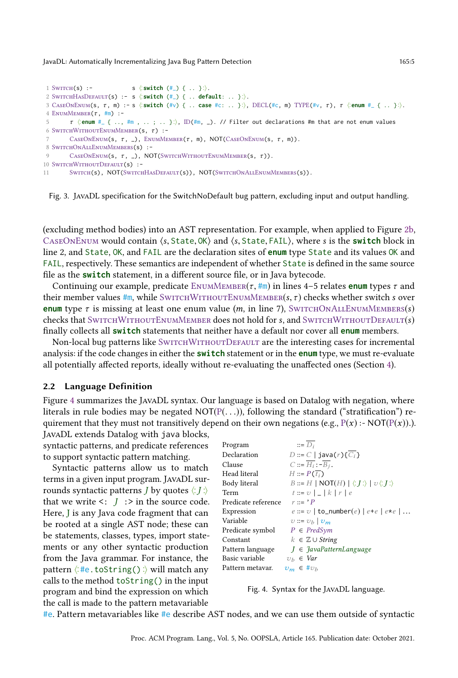```
1 SWITCH(s) :-
                                 .
switch (#_) { .. }.
.
⟩.
 2 SwitchHasDefault(s) :- s ⟨.
.
switch (#_) { .. default: .. }.
.
⟩.
 3 CASEONENUM(s, τ, m) :- s ⟨:switch (#v) { .. case #c: .. }:⟩, DECL(#c, m) TYPE(#v, τ), τ ⟨:enum #_{ .. }:⟩.
4 ENUMMEMBER(\tau, \#m) :-
 \tau \langle enum \#_1 \langle .., \#m , ..; .. }:\rangle, D(\#m, _). // Filter out declarations \#m that are not enum values
6 SWITCHWITHOUTENUMMEMBER(S, \tau) :-
      \text{CaseONEnum}(s, \tau, \underline{\ }), \text{EnumMEMBER}(\tau, \mathfrak{m}), \text{NOT}(CASEONEnum(s, \tau, \mathfrak{m})).8 SwitchOnAllEnumMembers(s) :-
9 CASEONENUM(S, \tau, \Box), NOT(SWITCHWITHOUTENUMMEMBER(S, \tau)).
10 SWITCHWITHOUTDEFAULT(S) :-
11 SWITCH(S), NOT(SWITCHHASDEFAULT(S)), NOT(SWITCHONALLENUMMEMBERS(S)).
```
Fig. 3. JavaDL specification for the SwitchNoDefault bug pattern, excluding input and output handling.

(excluding method bodies) into an AST representation. For example, when applied to Figure [2b,](#page-3-1) CaseOnEnum would contain ⟨s, State, OK⟩ and ⟨s, State, FAIL⟩, where s is the **switch** block in line 2, and State, OK, and FAIL are the declaration sites of **enum** type State and its values OK and FAIL, respectively. These semantics are independent of whether State is defined in the same source file as the **switch** statement, in a different source file, or in Java bytecode.

Continuing our example, predicate ENUMMEMBER $(\tau, \text{#m})$  in lines 4–5 relates **enum** types  $\tau$  and their member values  $\#$ m, while SWITCHWITHOUTENUMMEMBER(s,  $\tau$ ) checks whether switch s over **enum** type  $\tau$  is missing at least one enum value (*m*, in line 7), SWITCHONALLENUMMEMBERS(*s*) checks that SWITCHWITHOUTENUMMEMBER does not hold for  $s$ , and SWITCHWITHOUTDEFAULT $(s)$ finally collects all **switch** statements that neither have a default nor cover all **enum** members.

Non-local bug patterns like SwitchWithoutDefault are the interesting cases for incremental analysis: if the code changes in either the **switch** statement or in the **enum** type, we must re-evaluate all potentially affected reports, ideally without re-evaluating the unaffected ones (Section [4\)](#page-10-0).

## 2.2 Language Definition

Figure [4](#page-4-1) summarizes the JavaDL syntax. Our language is based on Datalog with negation, where literals in rule bodies may be negated  $NOT(P(...))$ , following the standard ("stratification") requirement that they must not transitively depend on their own negations (e.g.,  $P(x)$  :- NOT( $P(x)$ ).).

JavaDL extends Datalog with java blocks, syntactic patterns, and predicate references to support syntactic pattern matching.

Syntactic patterns allow us to match terms in a given input program. JavaDL surrounds syntactic patterns *J* by quotes  $\langle : J : \rangle$ that we write  $\leq$ :  $J$  :  $>$  in the source code. Here, J is any Java code fragment that can be rooted at a single AST node; these can be statements, classes, types, import statements or any other syntactic production from the Java grammar. For instance, the pattern ⟨. . #e.toString(). . ⟩ will match any calls to the method toString() in the input program and bind the expression on which the call is made to the pattern metavariable

<span id="page-4-1"></span>

| $::=\overline{D_i}$                                                                |
|------------------------------------------------------------------------------------|
| $D ::= C   java(r){\overline{C_i}}\}$                                              |
| $C ::= H_i : -B_i$ .                                                               |
| $H ::= P(\overline{t_i})$                                                          |
| $B ::= H   NOT(H)   \langle \langle J : \rangle   \nu \langle \langle J : \rangle$ |
| $t ::= \mathcal{V} \mid \_   k   r   e$                                            |
| $r ::= 'P$                                                                         |
| $e ::= \upsilon \mid \mathtt{to\_number}(e) \mid e + e \mid e \star e \mid \ldots$ |
| $v ::= v_h   v_m$                                                                  |
| $P \in PredSym$                                                                    |
| $k \in \mathbb{Z} \cup String$                                                     |
| $J \in \frac{7}{4}$ avaPatternLanguage                                             |
| $v_h \in Var$                                                                      |
| $v_m \in \#v_h$                                                                    |
|                                                                                    |



#e. Pattern metavariables like #e describe AST nodes, and we can use them outside of syntactic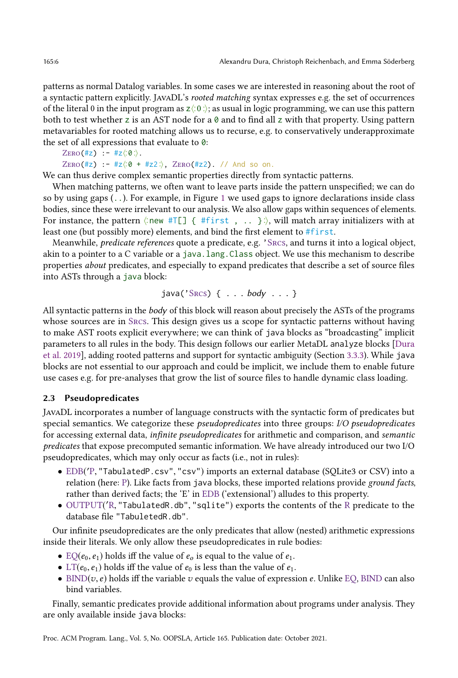patterns as normal Datalog variables. In some cases we are interested in reasoning about the root of a syntactic pattern explicitly. JavaDL's rooted matching syntax expresses e.g. the set of occurrences of the literal 0 in the input program as  $z \langle 0 \rangle$ ; as usual in logic programming, we can use this pattern both to test whether z is an AST node for a  $\theta$  and to find all z with that property. Using pattern metavariables for rooted matching allows us to recurse, e.g. to conservatively underapproximate the set of all expressions that evaluate to 0:

```
ZERO(\#z) :- \#z \langle :0:\rangle.
ZERO(\#z) :- \#z \langle :0 + \#z2 : \rangle, ZERO(\#z2). // And so on.
```
We can thus derive complex semantic properties directly from syntactic patterns.

When matching patterns, we often want to leave parts inside the pattern unspecified; we can do so by using gaps (..). For example, in Figure [1](#page-2-1) we used gaps to ignore declarations inside class bodies, since these were irrelevant to our analysis. We also allow gaps within sequences of elements. For instance, the pattern  $\langle \text{new} \# \text{TE} \rangle$  {  $\# \text{first}$ , ... }:, will match array initializers with at least one (but possibly more) elements, and bind the first element to #first.

Meanwhile, predicate references quote a predicate, e.g. 'Srcs, and turns it into a logical object, akin to a pointer to a C variable or a java.lang.Class object. We use this mechanism to describe properties about predicates, and especially to expand predicates that describe a set of source files into ASTs through a java block:

java $('S_{RCS})$  { . . .  $body$  . . . }

All syntactic patterns in the body of this block will reason about precisely the ASTs of the programs whose sources are in Srcs. This design gives us a scope for syntactic patterns without having to make AST roots explicit everywhere; we can think of java blocks as "broadcasting" implicit parameters to all rules in the body. This design follows our earlier MetaDL analyze blocks [\[Dura](#page-27-7) [et al.](#page-27-7) [2019\]](#page-27-7), adding rooted patterns and support for syntactic ambiguity (Section [3.3.3\)](#page-9-0). While java blocks are not essential to our approach and could be implicit, we include them to enable future use cases e.g. for pre-analyses that grow the list of source files to handle dynamic class loading.

## 2.3 Pseudopredicates

JavaDL incorporates a number of language constructs with the syntactic form of predicates but special semantics. We categorize these pseudopredicates into three groups: I/O pseudopredicates for accessing external data, infinite pseudopredicates for arithmetic and comparison, and semantic predicates that expose precomputed semantic information. We have already introduced our two I/O pseudopredicates, which may only occur as facts (i.e., not in rules):

- EDB( ′P, "TabulatedP.csv", "csv") imports an external database (SQLite3 or CSV) into a relation (here: P). Like facts from java blocks, these imported relations provide ground facts, rather than derived facts; the 'E' in EDB ('extensional') alludes to this property.
- OUTPUT( ′R, "TabulatedR.db", "sqlite") exports the contents of the R predicate to the database file "TabuletedR.db".

Our infinite pseudopredicates are the only predicates that allow (nested) arithmetic expressions inside their literals. We only allow these pseudopredicates in rule bodies:

- EQ( $e_0$ ,  $e_1$ ) holds iff the value of  $e_0$  is equal to the value of  $e_1$ .
- LT( $e_0, e_1$ ) holds iff the value of  $e_0$  is less than the value of  $e_1$ .
- BIND( $v, e$ ) holds iff the variable  $v$  equals the value of expression  $e$ . Unlike EQ, BIND can also bind variables.

Finally, semantic predicates provide additional information about programs under analysis. They are only available inside java blocks: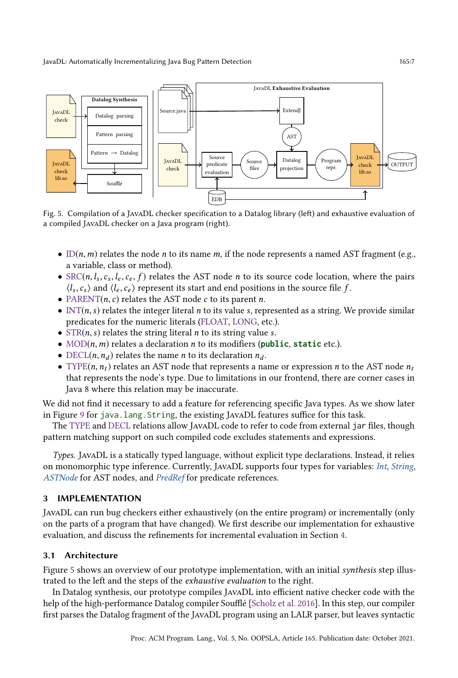<span id="page-6-0"></span>

Fig. 5. Compilation of a JavaDL checker specification to a Datalog library (left) and exhaustive evaluation of a compiled JavaDL checker on a Java program (right).

- ID $(n, m)$  relates the node *n* to its name *m*, if the node represents a named AST fragment (e.g., a variable, class or method).
- SRC( $n, l_s, c_s, l_e, c_e, f$ ) relates the AST node *n* to its source code location, where the pairs  $\langle l_s, c_s \rangle$  and  $\langle l_e, c_e \rangle$  represent its start and end positions in the source file  $f$ .
- PARENT(*n*, *c*) relates the AST node *c* to its parent *n*.
- INT(*n*, *s*) relates the integer literal *n* to its value *s*, represented as a string. We provide similar predicates for the numeric literals (FLOAT, LONG, etc.).
- $STR(n, s)$  relates the string literal *n* to its string value *s*.
- MOD(n,m) relates a declaration n to its modifiers (**public**, **static** etc.).
- DECL(*n*,  $n_d$ ) relates the name *n* to its declaration  $n_d$ .
- TYPE( $n, n_t$ ) relates an AST node that represents a name or expression n to the AST node  $n_t$ that represents the node's type. Due to limitations in our frontend, there are corner cases in Java 8 where this relation may be inaccurate.

We did not find it necessary to add a feature for referencing specific Java types. As we show later in Figure [9](#page-10-1) for java.lang.String, the existing JavaDL features suffice for this task.

The TYPE and DECL relations allow JavaDL code to refer to code from external jar files, though pattern matching support on such compiled code excludes statements and expressions.

Types. JavaDL is a statically typed language, without explicit type declarations. Instead, it relies on monomorphic type inference. Currently, JavaDL supports four types for variables: Int, String, ASTNode for AST nodes, and PredRef for predicate references.

# <span id="page-6-1"></span>3 IMPLEMENTATION

JavaDL can run bug checkers either exhaustively (on the entire program) or incrementally (only on the parts of a program that have changed). We first describe our implementation for exhaustive evaluation, and discuss the refinements for incremental evaluation in Section [4.](#page-10-0)

# 3.1 Architecture

Figure [5](#page-6-0) shows an overview of our prototype implementation, with an initial synthesis step illustrated to the left and the steps of the exhaustive evaluation to the right.

In Datalog synthesis, our prototype compiles JavaDL into efficient native checker code with the help of the high-performance Datalog compiler Soufflé [\[Scholz et al.](#page-29-3) [2016\]](#page-29-3). In this step, our compiler first parses the Datalog fragment of the JavaDL program using an LALR parser, but leaves syntactic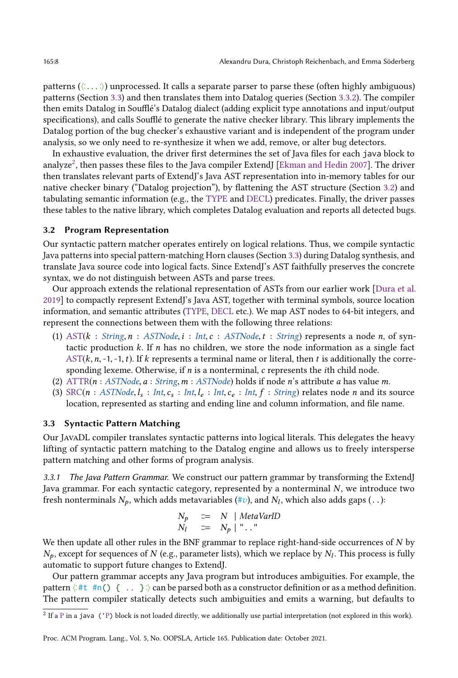patterns (⟨. . . . .. . ⟩) unprocessed. It calls a separate parser to parse these (often highly ambiguous) patterns (Section [3.3\)](#page-7-0) and then translates them into Datalog queries (Section [3.3.2\)](#page-8-0). The compiler then emits Datalog in Soufflé's Datalog dialect (adding explicit type annotations and input/output specifications), and calls Soufflé to generate the native checker library. This library implements the Datalog portion of the bug checker's exhaustive variant and is independent of the program under analysis, so we only need to re-synthesize it when we add, remove, or alter bug detectors.

In exhaustive evaluation, the driver first determines the set of Java files for each java block to analyze $^2$  $^2$ , then passes these files to the Java compiler ExtendJ [\[Ekman and Hedin 2007\]](#page-28-2). The driver then translates relevant parts of ExtendJ's Java AST representation into in-memory tables for our native checker binary ("Datalog projection"), by flattening the AST structure (Section [3.2\)](#page-7-2) and tabulating semantic information (e.g., the TYPE and DECL) predicates. Finally, the driver passes these tables to the native library, which completes Datalog evaluation and reports all detected bugs.

#### <span id="page-7-2"></span>3.2 Program Representation

Our syntactic pattern matcher operates entirely on logical relations. Thus, we compile syntactic Java patterns into special pattern-matching Horn clauses (Section [3.3\)](#page-7-0) during Datalog synthesis, and translate Java source code into logical facts. Since ExtendJ's AST faithfully preserves the concrete syntax, we do not distinguish between ASTs and parse trees.

Our approach extends the relational representation of ASTs from our earlier work [\[Dura et al.](#page-27-7) [2019\]](#page-27-7) to compactly represent ExtendJ's Java AST, together with terminal symbols, source location information, and semantic attributes (TYPE, DECL etc.). We map AST nodes to 64-bit integers, and represent the connections between them with the following three relations:

- (1) AST( $k$  : String,  $n$  : ASTNode,  $i$  : Int,  $c$  : ASTNode,  $t$  : String) represents a node n, of syntactic production  $k$ . If n has no children, we store the node information as a single fact  $AST(k, n, -1, -1, t)$ . If k represents a terminal name or literal, then t is additionally the corresponding lexeme. Otherwise, if  $n$  is a nonterminal,  $c$  represents the *i*th child node.
- (2)  $\text{ATTR}(n : \text{ASTNode}, a : \text{String}, m : \text{ASTNode})$  holds if node *n*'s attribute *a* has value *m*.
- (3) SRC( $n : ASTNode, l_s : Int, c_s : Int, l_e : Int, c_e : Int, f : String$ ) relates node n and its source location, represented as starting and ending line and column information, and file name.

## <span id="page-7-0"></span>3.3 Syntactic Pattern Matching

Our JavaDL compiler translates syntactic patterns into logical literals. This delegates the heavy lifting of syntactic pattern matching to the Datalog engine and allows us to freely intersperse pattern matching and other forms of program analysis.

3.3.1 The Java Pattern Grammar. We construct our pattern grammar by transforming the ExtendJ Java grammar. For each syntactic category, represented by a nonterminal  $N$ , we introduce two fresh nonterminals  $N_p$ , which adds metavariables (# $v$ ), and  $N_l$ , which also adds gaps ( . .):

$$
\begin{array}{ll}\nN_p & ::= & N \mid MetaVarID \\
N_l & ::= & N_p \mid " \dots" \n\end{array}
$$

We then update all other rules in the BNF grammar to replace right-hand-side occurrences of  $N$  by  $N_p$ , except for sequences of  $N$  (e.g., parameter lists), which we replace by  $N_l$ . This process is fully automatic to support future changes to ExtendJ.

Our pattern grammar accepts any Java program but introduces ambiguities. For example, the pattern  $\langle$ :  $#$   $#$   $\cap$   $\{$   $\ldots$   $\}$   $\rangle$  can be parsed both as a constructor definition or as a method definition. The pattern compiler statically detects such ambiguities and emits a warning, but defaults to

<span id="page-7-1"></span> $^2$  If a P in a java ('P) block is not loaded directly, we additionally use partial interpretation (not explored in this work).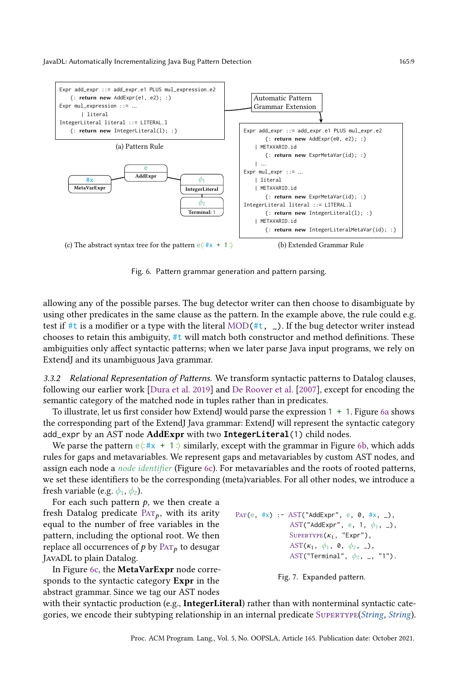<span id="page-8-5"></span><span id="page-8-1"></span>

<span id="page-8-3"></span><span id="page-8-2"></span>Fig. 6. Pattern grammar generation and pattern parsing.

allowing any of the possible parses. The bug detector writer can then choose to disambiguate by using other predicates in the same clause as the pattern. In the example above, the rule could e.g. test if #t is a modifier or a type with the literal MOD(#t,  $\Box$ ). If the bug detector writer instead chooses to retain this ambiguity, #t will match both constructor and method definitions. These ambiguities only affect syntactic patterns; when we later parse Java input programs, we rely on ExtendJ and its unambiguous Java grammar.

<span id="page-8-0"></span>3.3.2 Relational Representation of Patterns. We transform syntactic patterns to Datalog clauses, following our earlier work [\[Dura et al. 2019\]](#page-27-7) and [De Roover et al.](#page-27-8) [\[2007\]](#page-27-8), except for encoding the semantic category of the matched node in tuples rather than in predicates.

To illustrate, let us first consider how ExtendJ would parse the expression 1 + 1. Figure [6a](#page-8-1) shows the corresponding part of the ExtendJ Java grammar: ExtendJ will represent the syntactic category add\_expr by an AST node AddExpr with two **IntegerLiteral**(1) child nodes.

We parse the pattern  $e\langle : \#x + 1. \rangle$  similarly, except with the grammar in Figure [6b,](#page-8-2) which adds rules for gaps and metavariables. We represent gaps and metavariables by custom AST nodes, and assign each node a node identifier (Figure [6c\)](#page-8-3). For metavariables and the roots of rooted patterns, we set these identifiers to be the corresponding (meta)variables. For all other nodes, we introduce a fresh variable (e.g.  $\phi_1$ ,  $\phi_2$ ).

For each such pattern  $p$ , we then create a fresh Datalog predicate  $PAT_p$ , with its arity equal to the number of free variables in the pattern, including the optional root. We then replace all occurrences of  $p$  by  $\text{Par}_{p}$  to desugar JavaDL to plain Datalog.

In Figure [6c,](#page-8-3) the MetaVarExpr node corresponds to the syntactic category Expr in the abstract grammar. Since we tag our AST nodes

```
PAT(e, #x) :- AST("AddExpr", e, 0, #x, _),
                    AST("AddExpr", e, 1, \phi_1, \Box),
                    \text{Suptr}\left(\kappa_1, \text{ "Expr"}\right),
                    AST(\kappa_1, \phi_1, \theta, \phi_2, \phi),
                    AST("Terminal", \phi_2, \Box, "1").
```
Fig. 7. Expanded pattern.

with their syntactic production (e.g., IntegerLiteral) rather than with nonterminal syntactic categories, we encode their subtyping relationship in an internal predicate Supertype(String, String).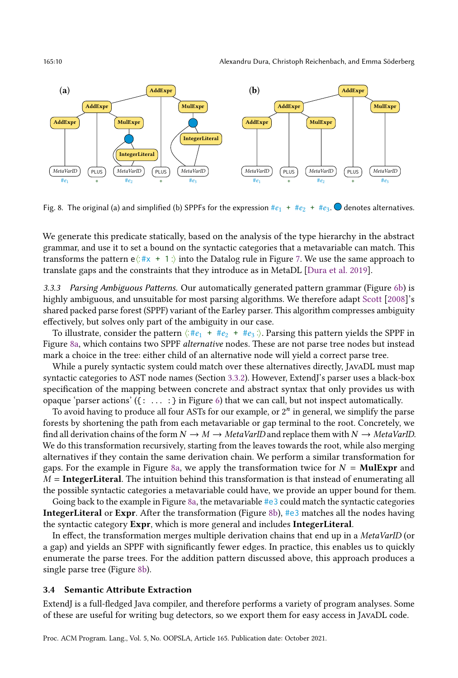<span id="page-9-1"></span>

Fig. 8. The original (a) and simplified (b) SPPFs for the expression  $#e_1 + #e_2 + #e_3$ .  $\bullet$  denotes alternatives.

We generate this predicate statically, based on the analysis of the type hierarchy in the abstract grammar, and use it to set a bound on the syntactic categories that a metavariable can match. This transforms the pattern  $e\langle$ : #x + 1.) into the Datalog rule in Figure [7.](#page-8-4) We use the same approach to translate gaps and the constraints that they introduce as in MetaDL [\[Dura et al. 2019\]](#page-27-7).

<span id="page-9-0"></span>3.3.3 Parsing Ambiguous Patterns. Our automatically generated pattern grammar (Figure [6b\)](#page-8-2) is highly ambiguous, and unsuitable for most parsing algorithms. We therefore adapt [Scott](#page-29-4) [\[2008\]](#page-29-4)'s shared packed parse forest (SPPF) variant of the Earley parser. This algorithm compresses ambiguity effectively, but solves only part of the ambiguity in our case.

To illustrate, consider the pattern  $\langle : \#e_1 + \#e_2 + \#e_3 \rangle$ . Parsing this pattern yields the SPPF in Figure [8a,](#page-9-1) which contains two SPPF alternative nodes. These are not parse tree nodes but instead mark a choice in the tree: either child of an alternative node will yield a correct parse tree.

While a purely syntactic system could match over these alternatives directly, JAVADL must map syntactic categories to AST node names (Section [3.3.2\)](#page-8-0). However, ExtendJ's parser uses a black-box specification of the mapping between concrete and abstract syntax that only provides us with opaque 'parser actions' ({: . . . :} in Figure [6\)](#page-8-5) that we can call, but not inspect automatically.

To avoid having to produce all four ASTs for our example, or  $2<sup>n</sup>$  in general, we simplify the parse forests by shortening the path from each metavariable or gap terminal to the root. Concretely, we find all derivation chains of the form  $N \to M \to Metabla$  and replace them with  $N \to Metabla$  MetaVarID. We do this transformation recursively, starting from the leaves towards the root, while also merging alternatives if they contain the same derivation chain. We perform a similar transformation for gaps. For the example in Figure [8a,](#page-9-1) we apply the transformation twice for  $N = \text{Mult}\,\text{Xpr}$  and  $M =$ **IntegerLiteral**. The intuition behind this transformation is that instead of enumerating all the possible syntactic categories a metavariable could have, we provide an upper bound for them.

Going back to the example in Figure [8a,](#page-9-1) the metavariable  $\#e3$  could match the syntactic categories IntegerLiteral or Expr. After the transformation (Figure [8b\)](#page-9-1), #e3 matches all the nodes having the syntactic category Expr, which is more general and includes IntegerLiteral.

In effect, the transformation merges multiple derivation chains that end up in a MetaVarID (or a gap) and yields an SPPF with significantly fewer edges. In practice, this enables us to quickly enumerate the parse trees. For the addition pattern discussed above, this approach produces a single parse tree (Figure [8b\)](#page-9-1).

#### 3.4 Semantic Attribute Extraction

ExtendJ is a full-fledged Java compiler, and therefore performs a variety of program analyses. Some of these are useful for writing bug detectors, so we export them for easy access in JavaDL code.

Proc. ACM Program. Lang., Vol. 5, No. OOPSLA, Article 165. Publication date: October 2021.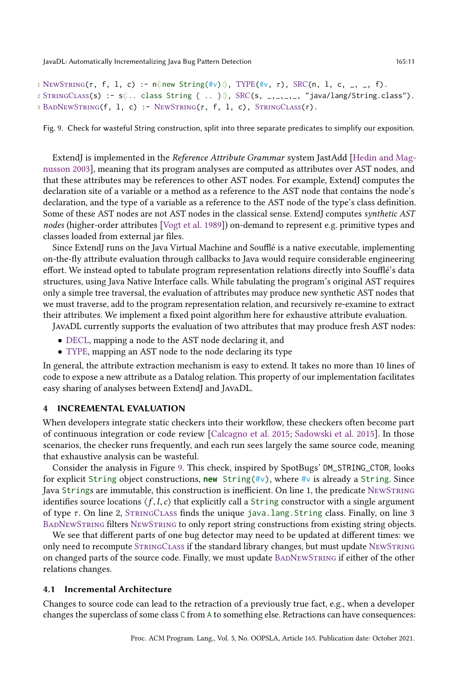```
1 NEWSTRING(\tau, f, 1, c) :- n\langlenew String(#v):\rangle, TYPE(#v, \tau), SRC(n, 1, c, _, _, f).
2 STRINGCLASS(S) :- s\langle \dots class String { .. } \rangle, SRC(s, _,_,_,_, "java/lang/String.class").
3 BADNEWSTRING(f, l, c) : - NEWSTRING(\tau, f, l, c), STRINGCLASS(\tau).
```
Fig. 9. Check for wasteful String construction, split into three separate predicates to simplify our exposition.

ExtendJ is implemented in the Reference Attribute Grammar system JastAdd [\[Hedin and Mag](#page-28-5)[nusson 2003\]](#page-28-5), meaning that its program analyses are computed as attributes over AST nodes, and that these attributes may be references to other AST nodes. For example, ExtendJ computes the declaration site of a variable or a method as a reference to the AST node that contains the node's declaration, and the type of a variable as a reference to the AST node of the type's class definition. Some of these AST nodes are not AST nodes in the classical sense. ExtendJ computes synthetic AST nodes (higher-order attributes [\[Vogt et al.](#page-30-3) [1989\]](#page-30-3)) on-demand to represent e.g. primitive types and classes loaded from external jar files.

Since ExtendJ runs on the Java Virtual Machine and Soufflé is a native executable, implementing on-the-fly attribute evaluation through callbacks to Java would require considerable engineering effort. We instead opted to tabulate program representation relations directly into Soufflé's data structures, using Java Native Interface calls. While tabulating the program's original AST requires only a simple tree traversal, the evaluation of attributes may produce new synthetic AST nodes that we must traverse, add to the program representation relation, and recursively re-examine to extract their attributes. We implement a fixed point algorithm here for exhaustive attribute evaluation.

JavaDL currently supports the evaluation of two attributes that may produce fresh AST nodes:

- DECL, mapping a node to the AST node declaring it, and
- TYPE, mapping an AST node to the node declaring its type

In general, the attribute extraction mechanism is easy to extend. It takes no more than 10 lines of code to expose a new attribute as a Datalog relation. This property of our implementation facilitates easy sharing of analyses between ExtendJ and JavaDL.

# <span id="page-10-0"></span>INCREMENTAL EVALUATION

When developers integrate static checkers into their workflow, these checkers often become part of continuous integration or code review [\[Calcagno et al.](#page-27-9) [2015;](#page-27-9) [Sadowski et al.](#page-29-5) [2015\]](#page-29-5). In those scenarios, the checker runs frequently, and each run sees largely the same source code, meaning that exhaustive analysis can be wasteful.

Consider the analysis in Figure [9.](#page-10-1) This check, inspired by SpotBugs' DM\_STRING\_CTOR, looks for explicit String object constructions, **new** String(#v), where #v is already a String. Since Java Strings are immutable, this construction is inefficient. On line 1, the predicate NewString identifies source locations  $\langle f, l, c \rangle$  that explicitly call a String constructor with a single argument of type  $\tau$ . On line 2, STRINGCLASS finds the unique java.lang. String class. Finally, on line 3 BadNewString filters NewString to only report string constructions from existing string objects.

We see that different parts of one bug detector may need to be updated at different times: we only need to recompute STRINGCLASS if the standard library changes, but must update NEWSTRING on changed parts of the source code. Finally, we must update BADNEWSTRING if either of the other relations changes.

#### 4.1 Incremental Architecture

Changes to source code can lead to the retraction of a previously true fact, e.g., when a developer changes the superclass of some class C from A to something else. Retractions can have consequences: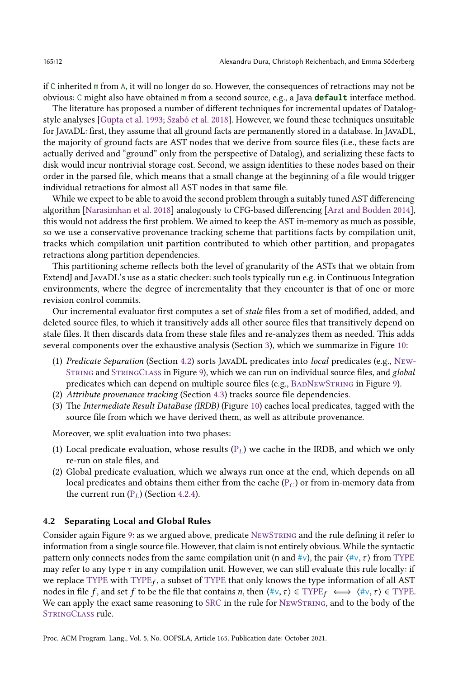if C inherited m from A, it will no longer do so. However, the consequences of retractions may not be obvious: C might also have obtained m from a second source, e.g., a Java **default** interface method.

The literature has proposed a number of different techniques for incremental updates of Datalogstyle analyses [\[Gupta et al.](#page-28-6) [1993;](#page-28-6) [Szabó et al.](#page-29-1) [2018\]](#page-29-1). However, we found these techniques unsuitable for JavaDL: first, they assume that all ground facts are permanently stored in a database. In JavaDL, the majority of ground facts are AST nodes that we derive from source files (i.e., these facts are actually derived and "ground" only from the perspective of Datalog), and serializing these facts to disk would incur nontrivial storage cost. Second, we assign identities to these nodes based on their order in the parsed file, which means that a small change at the beginning of a file would trigger individual retractions for almost all AST nodes in that same file.

While we expect to be able to avoid the second problem through a suitably tuned AST differencing algorithm [\[Narasimhan et al.](#page-29-6) [2018\]](#page-29-6) analogously to CFG-based differencing [\[Arzt and Bodden 2014\]](#page-27-10), this would not address the first problem. We aimed to keep the AST in-memory as much as possible, so we use a conservative provenance tracking scheme that partitions facts by compilation unit, tracks which compilation unit partition contributed to which other partition, and propagates retractions along partition dependencies.

This partitioning scheme reflects both the level of granularity of the ASTs that we obtain from ExtendJ and JavaDL's use as a static checker: such tools typically run e.g. in Continuous Integration environments, where the degree of incrementality that they encounter is that of one or more revision control commits.

Our incremental evaluator first computes a set of stale files from a set of modified, added, and deleted source files, to which it transitively adds all other source files that transitively depend on stale files. It then discards data from these stale files and re-analyzes them as needed. This adds several components over the exhaustive analysis (Section [3\)](#page-6-1), which we summarize in Figure [10:](#page-12-0)

- (1) Predicate Separation (Section [4.2\)](#page-11-0) sorts JavaDL predicates into local predicates (e.g., New-String and StringClass in Figure [9\)](#page-10-1), which we can run on individual source files, and global predicates which can depend on multiple source files (e.g., BADNEWSTRING in Figure [9\)](#page-10-1).
- (2) Attribute provenance tracking (Section [4.3\)](#page-15-0) tracks source file dependencies.
- (3) The Intermediate Result DataBase (IRDB) (Figure [10\)](#page-12-0) caches local predicates, tagged with the source file from which we have derived them, as well as attribute provenance.

Moreover, we split evaluation into two phases:

- (1) Local predicate evaluation, whose results  $(P_L)$  we cache in the IRDB, and which we only re-run on stale files, and
- (2) Global predicate evaluation, which we always run once at the end, which depends on all local predicates and obtains them either from the cache  $(P_C)$  or from in-memory data from the current run  $(P_L)$  (Section [4.2.4\)](#page-14-0).

#### <span id="page-11-0"></span>4.2 Separating Local and Global Rules

Consider again Figure [9:](#page-10-1) as we argued above, predicate NewString and the rule defining it refer to information from a single source file. However, that claim is not entirely obvious. While the syntactic pattern only connects nodes from the same compilation unit (n and #v), the pair  $\langle \sharp v, \tau \rangle$  from TYPE may refer to any type  $\tau$  in any compilation unit. However, we can still evaluate this rule locally: if we replace TYPE with  $\text{TYPE}_f$ , a subset of TYPE that only knows the type information of all AST nodes in file f, and set f to be the file that contains n, then  $\langle \#v, \tau \rangle \in \text{TYPE} \iff \langle \#v, \tau \rangle \in \text{TYPE}.$ We can apply the exact same reasoning to SRC in the rule for NewString, and to the body of the StringClass rule.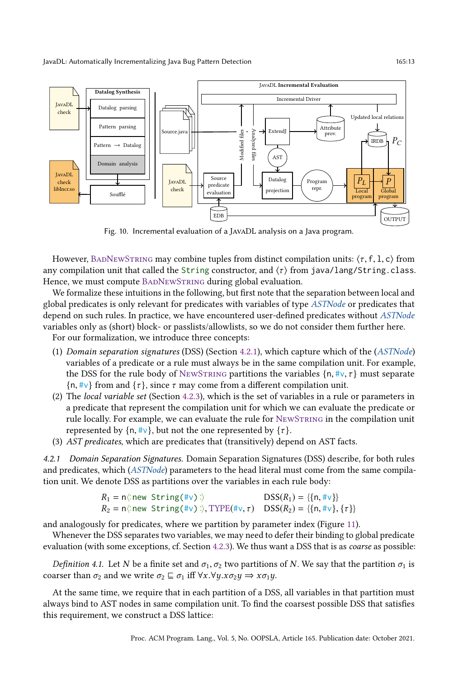<span id="page-12-0"></span>

Fig. 10. Incremental evaluation of a JavaDL analysis on a Java program.

However, BADNEWSTRING may combine tuples from distinct compilation units:  $\langle \tau, f, 1, c \rangle$  from any compilation unit that called the String constructor, and  $\langle \tau \rangle$  from java/lang/String.class. Hence, we must compute BADNEWSTRING during global evaluation.

We formalize these intuitions in the following, but first note that the separation between local and global predicates is only relevant for predicates with variables of type ASTNode or predicates that depend on such rules. In practice, we have encountered user-defined predicates without ASTNode variables only as (short) block- or passlists/allowlists, so we do not consider them further here.

For our formalization, we introduce three concepts:

- (1) Domain separation signatures (DSS) (Section [4.2.1\)](#page-12-1), which capture which of the (ASTNode) variables of a predicate or a rule must always be in the same compilation unit. For example, the DSS for the rule body of NEWSTRING partitions the variables  $\{n, \#v, \tau\}$  must separate  $\{\n\eta, \#\nu\}$  from and  $\{\tau\}$ , since  $\tau$  may come from a different compilation unit.
- (2) The local variable set (Section [4.2.3\)](#page-14-1), which is the set of variables in a rule or parameters in a predicate that represent the compilation unit for which we can evaluate the predicate or rule locally. For example, we can evaluate the rule for NewString in the compilation unit represented by  $\{n, \#v\}$ , but not the one represented by  $\{\tau\}$ .
- (3) AST predicates, which are predicates that (transitively) depend on AST facts.

<span id="page-12-1"></span>4.2.1 Domain Separation Signatures. Domain Separation Signatures (DSS) describe, for both rules and predicates, which (ASTNode) parameters to the head literal must come from the same compilation unit. We denote DSS as partitions over the variables in each rule body:

$$
R_1 = n\langle \text{new String}(\#v) \rangle
$$
  
 
$$
R_2 = n\langle \text{new String}(\#v) \rangle, \text{TYPE}(\#v, \tau)
$$
  
 
$$
DSS(R_1) = \{\{n, \#v\}\}, \{\tau\}\}
$$

and analogously for predicates, where we partition by parameter index (Figure [11\)](#page-13-0).

Whenever the DSS separates two variables, we may need to defer their binding to global predicate evaluation (with some exceptions, cf. Section [4.2.3\)](#page-14-1). We thus want a DSS that is as coarse as possible:

Definition 4.1. Let N be a finite set and  $\sigma_1, \sigma_2$  two partitions of N. We say that the partition  $\sigma_1$  is coarser than  $\sigma_2$  and we write  $\sigma_2 \sqsubseteq \sigma_1$  iff  $\forall x. \forall y. x \sigma_2 y \Rightarrow x \sigma_1 y$ .

At the same time, we require that in each partition of a DSS, all variables in that partition must always bind to AST nodes in same compilation unit. To find the coarsest possible DSS that satisfies this requirement, we construct a DSS lattice: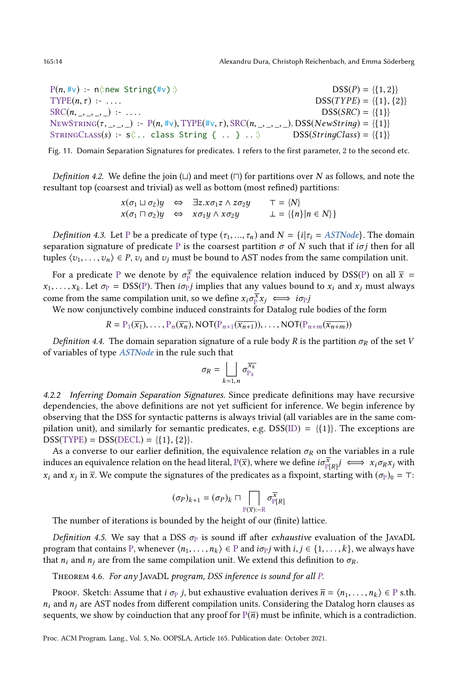165:14 Alexandru Dura, Christoph Reichenbach, and Emma Söderberg

<span id="page-13-0"></span> $P(n, \#v)$  :- n $\langle \text{new String}(\#v) \rangle$  $DSS(P) = \{\{1, 2\}\}\$ TYPE(*n*, *τ*) :- .... DSS(*TYPE*) = {{1}, {2}}  $SRC(n, 2, 3, 1):$  ....  $DSS(SRC) = \{\{1\}\}\$ NEWSTRING( $\tau$ , \_, \_, \_) :- P( $n$ , #v), TYPE( $\#$ v,  $\tau$ ), SRC( $n$ , \_, \_, \_, \_). DSS( $NewString$ ) = {{1}} STRINGCLASS(s) :- s(:.. class String { .. } ..;  $DSS(StringClass) = \{\{1\}\}\$ 

Fig. 11. Domain Separation Signatures for predicates. 1 refers to the first parameter, 2 to the second etc.

*Definition 4.2.* We define the join  $(\sqcup)$  and meet  $(\sqcap)$  for partitions over N as follows, and note the resultant top (coarsest and trivial) as well as bottom (most refined) partitions:

$$
x(\sigma_1 \sqcup \sigma_2) y \Leftrightarrow \exists z. x \sigma_1 z \land z \sigma_2 y \qquad T = \{N\}
$$
  

$$
x(\sigma_1 \sqcap \sigma_2) y \Leftrightarrow x \sigma_1 y \land x \sigma_2 y \qquad \bot = \{\{n\} | n \in N\}
$$

*Definition 4.3.* Let P be a predicate of type  $(\tau_1, ..., \tau_n)$  and  $N = \{i | \tau_i = \text{ASTNode}\}\$ . The domain separation signature of predicate P is the coarsest partition  $\sigma$  of N such that if  $i\sigma j$  then for all tuples  $\langle v_1, \ldots, v_n \rangle \in P$ ,  $v_i$  and  $v_j$  must be bound to AST nodes from the same compilation unit.

For a predicate P we denote by  $\sigma_{\rm p}^{\overline{x}}$  the equivalence relation induced by DSS(P) on all  $\overline{x}$  =  $x_1, \ldots, x_k$ . Let  $\sigma_P = \text{DSS}(P)$ . Then  $i\sigma_P j$  implies that any values bound to  $x_i$  and  $x_j$  must always come from the same compilation unit, so we define  $x_i \sigma_{\mathbb{P}}^{\overline{x}} x_j \iff i \sigma_{\mathbb{P}} j$ 

We now conjunctively combine induced constraints for Datalog rule bodies of the form

$$
R = P_1(\overline{x_1}), \ldots, P_n(\overline{x_n}), \text{NOT}(P_{n+1}(\overline{x_{n+1}})), \ldots, \text{NOT}(P_{n+m}(\overline{x_{n+m}}))
$$

Definition 4.4. The domain separation signature of a rule body R is the partition  $\sigma_R$  of the set V of variables of type ASTNode in the rule such that

$$
\sigma_R = \bigsqcup_{k=1,n} \sigma_{P_k}^{\overline{x_k}}
$$

4.2.2 Inferring Domain Separation Signatures. Since predicate definitions may have recursive dependencies, the above definitions are not yet sufficient for inference. We begin inference by observing that the DSS for syntactic patterns is always trivial (all variables are in the same compilation unit), and similarly for semantic predicates, e.g.  $DSS(ID) = \{\{1\}\}\$ . The exceptions are  $DSS(TYPE) = DSS(DECL) = \{\{1\}, \{2\}\}.$ 

As a converse to our earlier definition, the equivalence relation  $\sigma_R$  on the variables in a rule induces an equivalence relation on the head literal,  $P(\overline{x})$ , where we define  $i\sigma_{\rm P[R]}^{\overline{x}} j \iff x_i\sigma_R x_j$  with  $x_i$  and  $x_j$  in  $\bar{x}$ . We compute the signatures of the predicates as a fixpoint, starting with  $(\sigma_P)_0 = \tau$ :

$$
(\sigma_P)_{k+1}=(\sigma_P)_k\sqcap \bigcap_{\mathbb{P}(\overline{x}):=\mathbb{R}}\sigma_{\mathbb{P}[R]}^{\overline{x}}
$$

The number of iterations is bounded by the height of our (finite) lattice.

Definition 4.5. We say that a DSS  $\sigma_{\rm P}$  is sound iff after exhaustive evaluation of the JAVADL program that contains P, whenever  $\langle n_1, \ldots, n_k \rangle \in P$  and  $i\sigma_P j$  with  $i, j \in \{1, \ldots, k\}$ , we always have that  $n_i$  and  $n_j$  are from the same compilation unit. We extend this definition to  $\sigma_R$ .

THEOREM 4.6. For any JAVADL program, DSS inference is sound for all P.

Proof. Sketch: Assume that  $i \sigma_p j$ , but exhaustive evaluation derives  $\overline{n} = \langle n_1, \ldots, n_k \rangle \in \mathbb{P}$  s.th.  $n_i$  and  $n_j$  are AST nodes from different compilation units. Considering the Datalog horn clauses as sequents, we show by coinduction that any proof for  $P(\overline{n})$  must be infinite, which is a contradiction.

Proc. ACM Program. Lang., Vol. 5, No. OOPSLA, Article 165. Publication date: October 2021.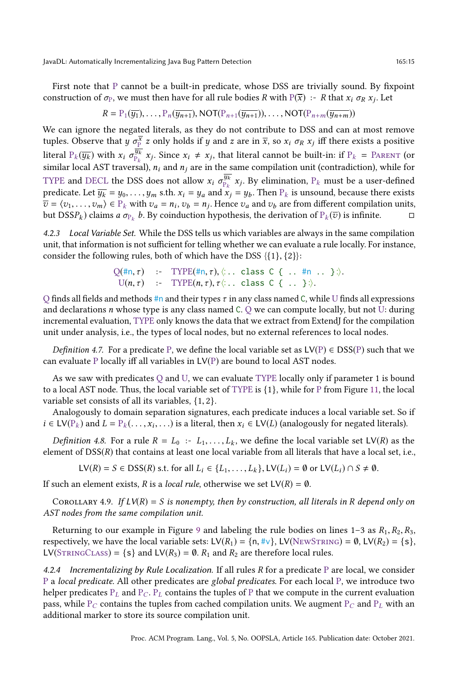First note that P cannot be a built-in predicate, whose DSS are trivially sound. By fixpoint construction of  $\sigma_P$ , we must then have for all rule bodies R with  $P(\overline{x})$  :- R that  $x_i \sigma_R x_j$ . Let

$$
R = P_1(\overline{y_1}), \ldots, P_n(\overline{y_{n+1}}), \text{NOT}(P_{n+1}(\overline{y_{n+1}})), \ldots, \text{NOT}(P_{n+m}(\overline{y_{n+m}}))
$$

We can ignore the negated literals, as they do not contribute to DSS and can at most remove tuples. Observe that  $y$   $\sigma_{\rm P}^{\overline{x}}$   $z$  only holds if  $y$  and  $z$  are in  $\overline{x}$ , so  $x_i$   $\sigma_R$   $x_j$  iff there exists a positive literal  $\mathrm{P}_k(\overline{y_k})$  with  $x_i$   $\sigma_{\mathrm{P}_k}^{\overline{y_k}}$  $\frac{\overline{y_k}}{P_k}$   $x_j$ . Since  $x_i \neq x_j$ , that literal cannot be built-in: if  $P_k$  = PARENT (or similar local AST traversal),  $n_i$  and  $n_j$  are in the same compilation unit (contradiction), while for TYPE and DECL the DSS does not allow  $x_i \sigma_{p_i}^{\overline{y_k}}$  $\frac{y_k}{p_k}$   $x_j$ . By elimination,  $P_k$  must be a user-defined predicate. Let  $\overline{y_k} = y_0, \ldots, y_m$  s.th.  $x_i = y_a$  and  $\overline{x_i} = y_b$ . Then  $P_k$  is unsound, because there exists  $\overline{v} = \langle v_1, \ldots, v_m \rangle \in P_k$  with  $v_a = n_i$ ,  $v_b = n_j$ . Hence  $v_a$  and  $v_b$  are from different compilation units, but DSS $P_k$ ) claims  $a \sigma_{P_k} b$ . By coinduction hypothesis, the derivation of  $P_k(\overline{v})$  is infinite.  $\Box$ 

<span id="page-14-1"></span>4.2.3 Local Variable Set. While the DSS tells us which variables are always in the same compilation unit, that information is not sufficient for telling whether we can evaluate a rule locally. For instance, consider the following rules, both of which have the DSS  $\{\{1\},\{2\}\}$ :

$$
Q(\text{#n}, \tau) \quad \text{:=} \quad \text{TYPE}(\text{#n}, \tau), \langle \cdot \text{:} \quad \text{class } C \ \{ \text{:} \quad \text{#n } \text{:} \quad \} \cdot \rangle.
$$
\n
$$
U(n, \tau) \quad \text{:=} \quad \text{TYPE}(n, \tau), \tau \langle \cdot \text{:} \quad \text{class } C \ \{ \text{:} \quad \} \cdot \rangle.
$$

 $Q$  finds all fields and methods #n and their types  $\tau$  in any class named C, while U finds all expressions and declarations  $n$  whose type is any class named C.  $Q$  we can compute locally, but not U: during incremental evaluation, TYPE only knows the data that we extract from ExtendJ for the compilation unit under analysis, i.e., the types of local nodes, but no external references to local nodes.

Definition 4.7. For a predicate P, we define the local variable set as  $LV(P) \in DSS(P)$  such that we can evaluate P locally iff all variables in LV(P) are bound to local AST nodes.

As we saw with predicates  $Q$  and  $U$ , we can evaluate TYPE locally only if parameter 1 is bound to a local AST node. Thus, the local variable set of TYPE is {1}, while for P from Figure [11,](#page-13-0) the local variable set consists of all its variables, {1, 2}.

Analogously to domain separation signatures, each predicate induces a local variable set. So if  $i \in LV(P_k)$  and  $L = P_k(\ldots, x_i, \ldots)$  is a literal, then  $x_i \in LV(L)$  (analogously for negated literals).

*Definition 4.8.* For a rule  $R = L_0 : L_1, \ldots, L_k$ , we define the local variable set LV(R) as the element of DSS(R) that contains at least one local variable from all literals that have a local set, i.e.,

 $LV(R) = S \in DSS(R)$  s.t. for all  $L_i \in \{L_1, \ldots, L_k\}$ ,  $LV(L_i) = \emptyset$  or  $LV(L_i) \cap S \neq \emptyset$ .

If such an element exists, R is a *local rule*, otherwise we set  $LV(R) = \emptyset$ .

COROLLARY 4.9. If  $LV(R) = S$  is nonempty, then by construction, all literals in R depend only on AST nodes from the same compilation unit.

Returning to our example in Figure [9](#page-10-1) and labeling the rule bodies on lines 1–3 as  $R_1, R_2, R_3$ , respectively, we have the local variable sets: LV( $R_1$ ) = { $n, \#v$ }, LV(NEWSTRING) = 0, LV( $R_2$ ) = { $s$ }, LV(STRINGCLASS) = {s} and LV( $R_3$ ) = 0.  $R_1$  and  $R_2$  are therefore local rules.

<span id="page-14-0"></span>4.2.4 Incrementalizing by Rule Localization. If all rules  $R$  for a predicate  $P$  are local, we consider P a local predicate. All other predicates are global predicates. For each local P, we introduce two helper predicates  $P_L$  and  $P_C$ .  $P_L$  contains the tuples of P that we compute in the current evaluation pass, while  $P_C$  contains the tuples from cached compilation units. We augment  $P_C$  and  $P_L$  with an additional marker to store its source compilation unit.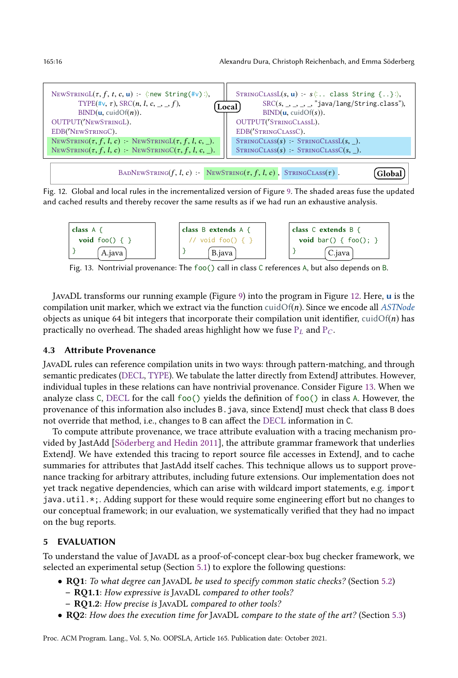<span id="page-15-1"></span>

| NEWSTRINGL( $\tau$ , $f$ , $t$ , $c$ , $u$ ) :- $\langle$ :new String( $\sharp v$ ): $\rangle$ ,<br>TYPE $(\#v, \tau)$ , SRC $(n, l, c, \tau, f)$ ,<br>BIND(u, cuidOf(n)). | STRINGCLASSL(s, u) : $s$ : class String {}:),<br>$SRC(s, _{\rightarrow \rightarrow \rightarrow \infty})$ "java/lang/String.class"),<br><b>Local</b> l<br>BIND(u, cuidOf(s)). |
|----------------------------------------------------------------------------------------------------------------------------------------------------------------------------|------------------------------------------------------------------------------------------------------------------------------------------------------------------------------|
| OUTPUT('NEWSTRINGL).                                                                                                                                                       | OUTPUT('STRINGCLASSL).                                                                                                                                                       |
| EDB('NEWSTRINGC).                                                                                                                                                          | EDB('STRINGCLASSC).                                                                                                                                                          |
| NEWSTRING( $\tau$ , $f$ , $l$ , $c$ ) : NEWSTRINGL( $\tau$ , $f$ , $l$ , $c$ , $\_)$ .                                                                                     | $STRINGCLASS(s)$ : $STRINGCLASSL(s, )$ .                                                                                                                                     |
| NEWSTRING( $\tau$ , $f$ , $l$ , $c$ ) : NEWSTRINGC( $\tau$ , $f$ , $l$ , $c$ , $\_$ ).                                                                                     | $STRINGCLASS(s)$ :- $STRINGCLASSC(s, )$ .                                                                                                                                    |
|                                                                                                                                                                            | BADNEWSTRING(f, l, c) : NEWSTRING( $\tau$ , f, l, c), STRINGCLASS( $\tau$ ).<br>-iloba:                                                                                      |

Fig. 12. Global and local rules in the incrementalized version of Figure [9.](#page-10-1) The shaded areas fuse the updated and cached results and thereby recover the same results as if we had run an exhaustive analysis.

<span id="page-15-2"></span>

| class $A \{$      | class B extends A {    | class C extends B {            |
|-------------------|------------------------|--------------------------------|
| void foo() $\{\}$ | // void foo() $\{\ \}$ | <b>void</b> bar() { $f$ foo(); |
| A.java            | B.java                 | C.java                         |

Fig. 13. Nontrivial provenance: The foo() call in class C references A, but also depends on B.

JavaDL transforms our running example (Figure [9\)](#page-10-1) into the program in Figure [12.](#page-15-1) Here, u is the compilation unit marker, which we extract via the function cuidOf $(n)$ . Since we encode all ASTNode objects as unique 64 bit integers that incorporate their compilation unit identifier, cuidOf(n) has practically no overhead. The shaded areas highlight how we fuse  $P_L$  and  $P_C$ .

## <span id="page-15-0"></span>4.3 Attribute Provenance

JavaDL rules can reference compilation units in two ways: through pattern-matching, and through semantic predicates (DECL, TYPE). We tabulate the latter directly from ExtendJ attributes. However, individual tuples in these relations can have nontrivial provenance. Consider Figure [13.](#page-15-2) When we analyze class C, DECL for the call foo() yields the definition of foo() in class A. However, the provenance of this information also includes B.java, since ExtendJ must check that class B does not override that method, i.e., changes to B can affect the DECL information in C.

To compute attribute provenance, we trace attribute evaluation with a tracing mechanism provided by JastAdd [\[Söderberg and Hedin 2011\]](#page-29-7), the attribute grammar framework that underlies ExtendJ. We have extended this tracing to report source file accesses in ExtendJ, and to cache summaries for attributes that JastAdd itself caches. This technique allows us to support provenance tracking for arbitrary attributes, including future extensions. Our implementation does not yet track negative dependencies, which can arise with wildcard import statements, e.g. import java.util.\*;. Adding support for these would require some engineering effort but no changes to our conceptual framework; in our evaluation, we systematically verified that they had no impact on the bug reports.

## 5 EVALUATION

To understand the value of JavaDL as a proof-of-concept clear-box bug checker framework, we selected an experimental setup (Section [5.1\)](#page-16-1) to explore the following questions:

- RQ1: To what degree can JavaDL be used to specify common static checks? (Section [5.2\)](#page-16-2)
	- RQ1.1: How expressive is JAVADL compared to other tools?
	- RQ1.2: How precise is JAVADL compared to other tools?
- RQ2: How does the execution time for JavaDL compare to the state of the art? (Section [5.3\)](#page-19-0)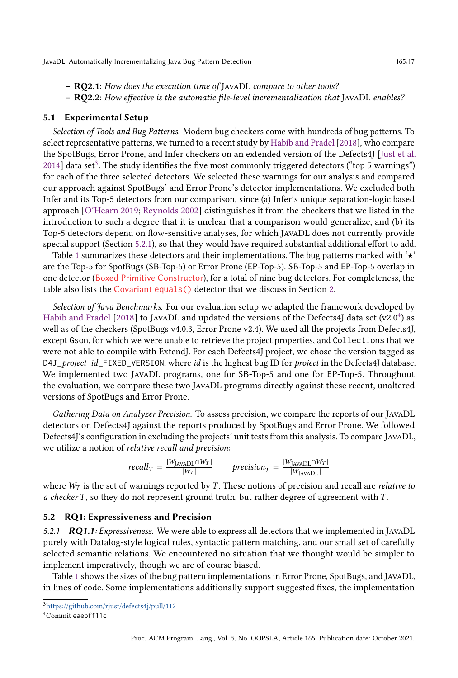- RQ2.1: How does the execution time of JAVADL compare to other tools?
- RQ2.2: How effective is the automatic file-level incrementalization that JAVADL enables?

#### <span id="page-16-1"></span>5.1 Experimental Setup

Selection of Tools and Bug Patterns. Modern bug checkers come with hundreds of bug patterns. To select representative patterns, we turned to a recent study by [Habib and Pradel](#page-28-7) [\[2018\]](#page-28-7), who compare the SpotBugs, Error Prone, and Infer checkers on an extended version of the Defects4J [\[Just et al.](#page-28-8)  $2014$ ] data set<sup>[3](#page-16-3)</sup>. The study identifies the five most commonly triggered detectors ("top 5 warnings") for each of the three selected detectors. We selected these warnings for our analysis and compared our approach against SpotBugs' and Error Prone's detector implementations. We excluded both Infer and its Top-5 detectors from our comparison, since (a) Infer's unique separation-logic based approach [\[O'Hearn 2019;](#page-29-8) [Reynolds 2002\]](#page-29-9) distinguishes it from the checkers that we listed in the introduction to such a degree that it is unclear that a comparison would generalize, and (b) its Top-5 detectors depend on flow-sensitive analyses, for which JavaDL does not currently provide special support (Section [5.2.1\)](#page-16-0), so that they would have required substantial additional effort to add.

Table [1](#page-17-0) summarizes these detectors and their implementations. The bug patterns marked with ' $\star$ ' are the Top-5 for SpotBugs (SB-Top-5) or Error Prone (EP-Top-5). SB-Top-5 and EP-Top-5 overlap in one detector (Boxed Primitive Constructor), for a total of nine bug detectors. For completeness, the table also lists the Covariant equals() detector that we discuss in Section [2.](#page-2-2)

Selection of Java Benchmarks. For our evaluation setup we adapted the framework developed by [Habib and Pradel](#page-28-7) [\[2018\]](#page-28-7) to JavaDL and updated the versions of the Defects[4](#page-16-4)J data set (v2.0<sup>4</sup>) as well as of the checkers (SpotBugs v4.0.3, Error Prone v2.4). We used all the projects from Defects4J, except Gson, for which we were unable to retrieve the project properties, and Collections that we were not able to compile with ExtendJ. For each Defects4J project, we chose the version tagged as D4J\_project\_id\_FIXED\_VERSION, where id is the highest bug ID for project in the Defects4J database. We implemented two JavaDL programs, one for SB-Top-5 and one for EP-Top-5. Throughout the evaluation, we compare these two JavaDL programs directly against these recent, unaltered versions of SpotBugs and Error Prone.

Gathering Data on Analyzer Precision. To assess precision, we compare the reports of our JavaDL detectors on Defects4J against the reports produced by SpotBugs and Error Prone. We followed Defects4J's configuration in excluding the projects' unit tests from this analysis. To compare JavaDL, we utilize a notion of relative recall and precision:

$$
recall_T = \frac{|W_{\text{JavADL}} \cap W_T|}{|W_T|} \qquad \text{precision}_T = \frac{|W_{\text{JavADL}} \cap W_T|}{|W_{\text{JavADL}}|}
$$

where  $W_T$  is the set of warnings reported by T. These notions of precision and recall are *relative to*  $a$  checker  $T$ , so they do not represent ground truth, but rather degree of agreement with  $T$ .

#### <span id="page-16-2"></span>5.2 RQ1: Expressiveness and Precision

<span id="page-16-0"></span>5.2.1 RQ1.1: Expressiveness. We were able to express all detectors that we implemented in JAVADL purely with Datalog-style logical rules, syntactic pattern matching, and our small set of carefully selected semantic relations. We encountered no situation that we thought would be simpler to implement imperatively, though we are of course biased.

Table [1](#page-17-0) shows the sizes of the bug pattern implementations in Error Prone, SpotBugs, and JavaDL, in lines of code. Some implementations additionally support suggested fixes, the implementation

<span id="page-16-3"></span><sup>3</sup><https://github.com/rjust/defects4j/pull/112>

<span id="page-16-4"></span><sup>4</sup>Commit eaebff11c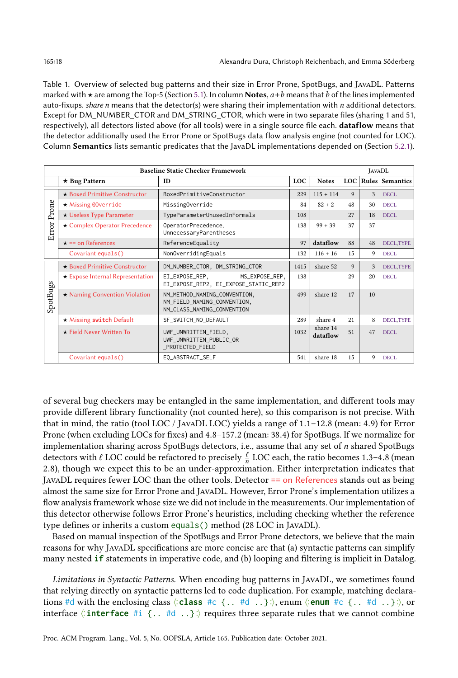<span id="page-17-0"></span>Table 1. Overview of selected bug patterns and their size in Error Prone, SpotBugs, and JavaDL. Patterns marked with  $\star$  are among the Top-5 (Section [5.1\)](#page-16-1). In column **Notes**,  $a+b$  means that b of the lines implemented auto-fixups. share n means that the detector(s) were sharing their implementation with  $n$  additional detectors. Except for DM\_NUMBER\_CTOR and DM\_STRING\_CTOR, which were in two separate files (sharing 1 and 51, respectively), all detectors listed above (for all tools) were in a single source file each. dataflow means that the detector additionally used the Error Prone or SpotBugs data flow analysis engine (not counted for LOC). Column Semantics lists semantic predicates that the JavaDL implementations depended on (Section [5.2.1\)](#page-16-0).

|          | <b>Baseline Static Checker Framework</b> | <b>JAVADL</b>                                                                             |                   |                      |                     |                  |            |  |  |  |  |
|----------|------------------------------------------|-------------------------------------------------------------------------------------------|-------------------|----------------------|---------------------|------------------|------------|--|--|--|--|
|          | $\star$ Bug Pattern                      | <b>Notes</b>                                                                              |                   |                      | LOC Rules Semantics |                  |            |  |  |  |  |
|          | $\star$ Boxed Primitive Constructor      | <b>BoxedPrimitiveConstructor</b>                                                          | 229               | $115 + 114$          | 9                   | $\mathbf{3}$     | DECL       |  |  |  |  |
| Prone    | $\star$ Missing @Override                | MissingOverride                                                                           | 84                | $82 + 2$             | 48                  | 30               | DECL       |  |  |  |  |
|          | $\star$ Useless Type Parameter           |                                                                                           | 27                | 18                   | DECL.               |                  |            |  |  |  |  |
| Error    | ★ Complex Operator Precedence            | $99 + 39$                                                                                 | 37                | 37                   |                     |                  |            |  |  |  |  |
|          | $\star$ == on References                 | ReferenceEquality                                                                         | 97                | dataflow             | 88                  | 48               | DECL, TYPE |  |  |  |  |
|          | Covariant equals()                       | NonOverridingEquals                                                                       | 132<br>$116 + 16$ |                      |                     |                  |            |  |  |  |  |
|          | $\star$ Boxed Primitive Constructor      | DM_NUMBER_CTOR, DM_STRING_CTOR                                                            | 1415              | share 52             | 9                   | 3                | DECL, TYPE |  |  |  |  |
|          | $\star$ Expose Internal Representation   | EI_EXPOSE_REP,<br>MS_EXPOSE_REP,<br>EI_EXPOSE_REP2, EI_EXPOSE_STATIC_REP2                 | 138               |                      | 29                  | 20               | DECL       |  |  |  |  |
| SpotBugs | $\star$ Naming Convention Violation      | NM_METHOD_NAMING_CONVENTION,<br>NM_FIELD_NAMING_CONVENTION,<br>NM_CLASS_NAMING_CONVENTION | 499               | share 12             | 17                  | 10 <sup>10</sup> |            |  |  |  |  |
|          | $\star$ Missing switch Default           | SF_SWITCH_NO_DEFAULT                                                                      | 289               | share 4              | 21                  | 8                | DECL, TYPE |  |  |  |  |
|          | $\star$ Field Never Written To           | UWF_UNWRITTEN_FIELD,<br>UWF_UNWRITTEN_PUBLIC_OR<br>_PROTECTED_FIELD                       | 1032              | share 14<br>dataflow | 51                  | 47               | DECL       |  |  |  |  |
|          | Covariant equals()                       | EQ_ABSTRACT_SELF                                                                          | 541               | share 18             | 15                  | 9                | DECL       |  |  |  |  |

of several bug checkers may be entangled in the same implementation, and different tools may provide different library functionality (not counted here), so this comparison is not precise. With that in mind, the ratio (tool LOC / JavaDL LOC) yields a range of  $1.1-12.8$  (mean: 4.9) for Error Prone (when excluding LOCs for fixes) and 4.8-157.2 (mean: 38.4) for SpotBugs. If we normalize for implementation sharing across SpotBugs detectors, i.e., assume that any set of n shared SpotBugs detectors with  $\ell$  LOC could be refactored to precisely  $\frac{\ell}{n}$  LOC each, the ratio becomes 1.3–4.8 (mean 2.8), though we expect this to be an under-approximation. Either interpretation indicates that JavaDL requires fewer LOC than the other tools. Detector == on References stands out as being almost the same size for Error Prone and JavaDL. However, Error Prone's implementation utilizes a flow analysis framework whose size we did not include in the measurements. Our implementation of this detector otherwise follows Error Prone's heuristics, including checking whether the reference type defines or inherits a custom equals() method (28 LOC in JavaDL).

Based on manual inspection of the SpotBugs and Error Prone detectors, we believe that the main reasons for why JavaDL specifications are more concise are that (a) syntactic patterns can simplify many nested **if** statements in imperative code, and (b) looping and filtering is implicit in Datalog.

Limitations in Syntactic Patterns. When encoding bug patterns in JavaDL, we sometimes found that relying directly on syntactic patterns led to code duplication. For example, matching declarations #d with the enclosing class ⟨. . **class** #c {.. #d ..}. . ⟩, enum ⟨. . **enum** #c {.. #d ..}. . ⟩, or interface  $\langle$ : **interface**  $\#$ **i**  $\{ \ldots \}$   $\rangle$  requires three separate rules that we cannot combine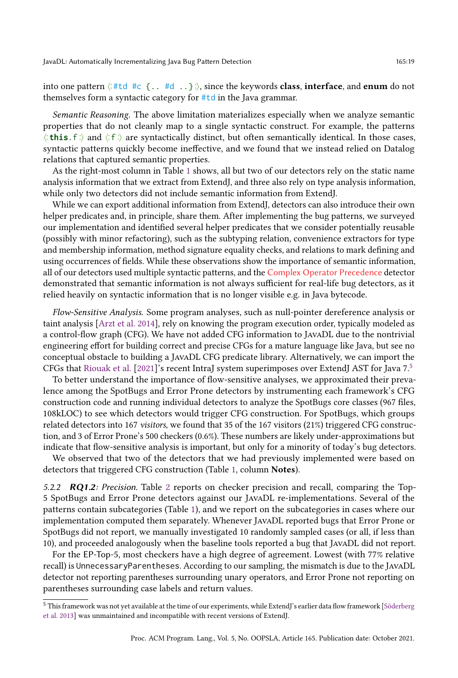into one pattern  $\langle : \# \mathsf{td} \# \mathsf{c} \; \{ \ldots \# \mathsf{d} \; \ldots \} \; \rangle$ , since the keywords **class, interface,** and **enum** do not themselves form a syntactic category for #td in the Java grammar.

Semantic Reasoning. The above limitation materializes especially when we analyze semantic properties that do not cleanly map to a single syntactic construct. For example, the patterns ⟨. . **this**.f. . ⟩ and ⟨. . f. . ⟩ are syntactically distinct, but often semantically identical. In those cases, syntactic patterns quickly become ineffective, and we found that we instead relied on Datalog relations that captured semantic properties.

As the right-most column in Table [1](#page-17-0) shows, all but two of our detectors rely on the static name analysis information that we extract from ExtendJ, and three also rely on type analysis information, while only two detectors did not include semantic information from ExtendJ.

While we can export additional information from ExtendJ, detectors can also introduce their own helper predicates and, in principle, share them. After implementing the bug patterns, we surveyed our implementation and identified several helper predicates that we consider potentially reusable (possibly with minor refactoring), such as the subtyping relation, convenience extractors for type and membership information, method signature equality checks, and relations to mark defining and using occurrences of fields. While these observations show the importance of semantic information, all of our detectors used multiple syntactic patterns, and the Complex Operator Precedence detector demonstrated that semantic information is not always sufficient for real-life bug detectors, as it relied heavily on syntactic information that is no longer visible e.g. in Java bytecode.

Flow-Sensitive Analysis. Some program analyses, such as null-pointer dereference analysis or taint analysis [\[Arzt et al.](#page-27-11) [2014\]](#page-27-11), rely on knowing the program execution order, typically modeled as a control-flow graph (CFG). We have not added CFG information to JavaDL due to the nontrivial engineering effort for building correct and precise CFGs for a mature language like Java, but see no conceptual obstacle to building a JavaDL CFG predicate library. Alternatively, we can import the CFGs that [Riouak et al.](#page-29-10) [\[2021\]](#page-29-10)'s recent IntraJ system superimposes over ExtendJ AST for Java  $7<sup>5</sup>$  $7<sup>5</sup>$  $7<sup>5</sup>$ 

To better understand the importance of flow-sensitive analyses, we approximated their prevalence among the SpotBugs and Error Prone detectors by instrumenting each framework's CFG construction code and running individual detectors to analyze the SpotBugs core classes (967 files, 108kLOC) to see which detectors would trigger CFG construction. For SpotBugs, which groups related detectors into 167 visitors, we found that 35 of the 167 visitors (21%) triggered CFG construction, and 3 of Error Prone's 500 checkers (0.6%). These numbers are likely under-approximations but indicate that flow-sensitive analysis is important, but only for a minority of today's bug detectors.

We observed that two of the detectors that we had previously implemented were based on detectors that triggered CFG construction (Table [1,](#page-17-0) column Notes).

5.[2](#page-19-1).2 **RQ1.2:** Precision. Table 2 reports on checker precision and recall, comparing the Top-5 SpotBugs and Error Prone detectors against our JavaDL re-implementations. Several of the patterns contain subcategories (Table [1\)](#page-17-0), and we report on the subcategories in cases where our implementation computed them separately. Whenever JavaDL reported bugs that Error Prone or SpotBugs did not report, we manually investigated 10 randomly sampled cases (or all, if less than 10), and proceeded analogously when the baseline tools reported a bug that JavaDL did not report.

For the EP-Top-5, most checkers have a high degree of agreement. Lowest (with 77% relative recall) is UnnecessaryParentheses. According to our sampling, the mismatch is due to the JavaDL detector not reporting parentheses surrounding unary operators, and Error Prone not reporting on parentheses surrounding case labels and return values.

<span id="page-18-0"></span><sup>&</sup>lt;sup>5</sup> This framework was not yet available at the time of our experiments, while ExtendJ's earlier data flow framework [\[Söderberg](#page-29-11) [et al. 2013\]](#page-29-11) was unmaintained and incompatible with recent versions of ExtendJ.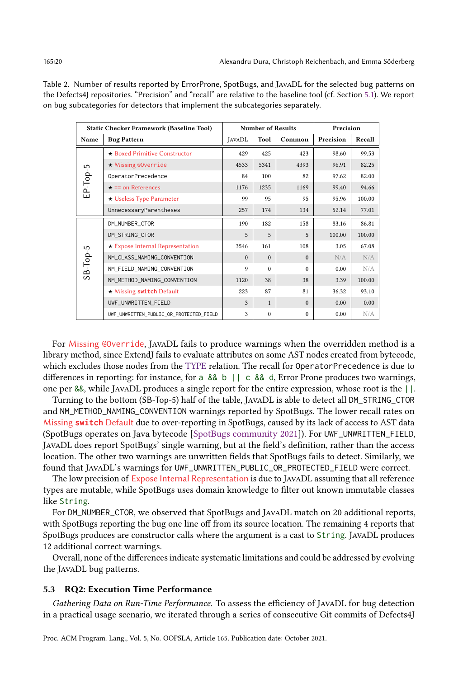|             | <b>Static Checker Framework (Baseline Tool)</b> |               | <b>Number of Results</b> | Precision |           |        |  |
|-------------|-------------------------------------------------|---------------|--------------------------|-----------|-----------|--------|--|
| Name        | <b>Bug Pattern</b>                              | <b>JAVADL</b> | Tool                     | Common    | Precision | Recall |  |
|             | ★ Boxed Primitive Constructor                   | 429           | 425                      | 423       | 98.60     | 99.53  |  |
|             | $\star$ Missing @Override                       | 4533          | 5341                     | 4393      | 96.91     | 82.25  |  |
|             | OperatorPrecedence                              | 84            | 100                      | 82        | 97.62     | 82.00  |  |
| $EP$ -Top-5 | $\star$ == on References                        | 1176          | 1235                     | 1169      | 99.40     | 94.66  |  |
|             | ★ Useless Type Parameter                        | 99            | 95                       | 95        | 95.96     | 100.00 |  |
|             | UnnecessaryParentheses                          | 257           | 174                      | 134       | 52.14     | 77.01  |  |
|             | DM_NUMBER_CTOR                                  | 190           | 182                      | 158       | 83.16     | 86.81  |  |
|             | DM_STRING_CTOR                                  | 5             | 5                        | 5         | 100.00    | 100.00 |  |
|             | $\star$ Expose Internal Representation          | 3546          | 161                      | 108       | 3.05      | 67.08  |  |
| $S-B-Top-5$ | NM_CLASS_NAMING_CONVENTION                      | $\Omega$      | $\Omega$                 | $\Omega$  | N/A       | N/A    |  |
|             | NM_FIELD_NAMING_CONVENTION                      | 9             | $\Omega$                 | $\Omega$  | 0.00      | N/A    |  |
|             | NM_METHOD_NAMING_CONVENTION                     | 1120          | 38                       | 38        | 3.39      | 100.00 |  |
|             | * Missing switch Default                        | 223           | 87                       | 81        | 36.32     | 93.10  |  |
|             | UWF_UNWRITTEN_FIELD                             | 3             | $\mathbf{1}$             | $\Omega$  | 0.00      | 0.00   |  |
|             | UWF_UNWRITTEN_PUBLIC_OR_PROTECTED_FIELD         | 3             | $\mathbf{0}$             | $\Omega$  | 0.00      | N/A    |  |

<span id="page-19-1"></span>Table 2. Number of results reported by ErrorProne, SpotBugs, and JavaDL for the selected bug patterns on the Defects4J repositories. "Precision" and "recall" are relative to the baseline tool (cf. Section [5.1\)](#page-16-1). We report on bug subcategories for detectors that implement the subcategories separately.

For Missing @Override, JavaDL fails to produce warnings when the overridden method is a library method, since ExtendJ fails to evaluate attributes on some AST nodes created from bytecode, which excludes those nodes from the TYPE relation. The recall for OperatorPrecedence is due to differences in reporting: for instance, for a && b || c && d, Error Prone produces two warnings, one per &&, while JavaDL produces a single report for the entire expression, whose root is the ||.

Turning to the bottom (SB-Top-5) half of the table, JavaDL is able to detect all DM\_STRING\_CTOR and NM\_METHOD\_NAMING\_CONVENTION warnings reported by SpotBugs. The lower recall rates on Missing **switch** Default due to over-reporting in SpotBugs, caused by its lack of access to AST data (SpotBugs operates on Java bytecode [\[SpotBugs community 2021\]](#page-29-12)). For UWF\_UNWRITTEN\_FIELD, JavaDL does report SpotBugs' single warning, but at the field's definition, rather than the access location. The other two warnings are unwritten fields that SpotBugs fails to detect. Similarly, we found that JavaDL's warnings for UWF\_UNWRITTEN\_PUBLIC\_OR\_PROTECTED\_FIELD were correct.

The low precision of Expose Internal Representation is due to JavaDL assuming that all reference types are mutable, while SpotBugs uses domain knowledge to filter out known immutable classes like String.

For DM\_NUMBER\_CTOR, we observed that SpotBugs and JavaDL match on 20 additional reports, with SpotBugs reporting the bug one line off from its source location. The remaining 4 reports that SpotBugs produces are constructor calls where the argument is a cast to String. JavaDL produces 12 additional correct warnings.

Overall, none of the differences indicate systematic limitations and could be addressed by evolving the JavaDL bug patterns.

#### <span id="page-19-0"></span>5.3 RQ2: Execution Time Performance

Gathering Data on Run-Time Performance. To assess the efficiency of JavaDL for bug detection in a practical usage scenario, we iterated through a series of consecutive Git commits of Defects4J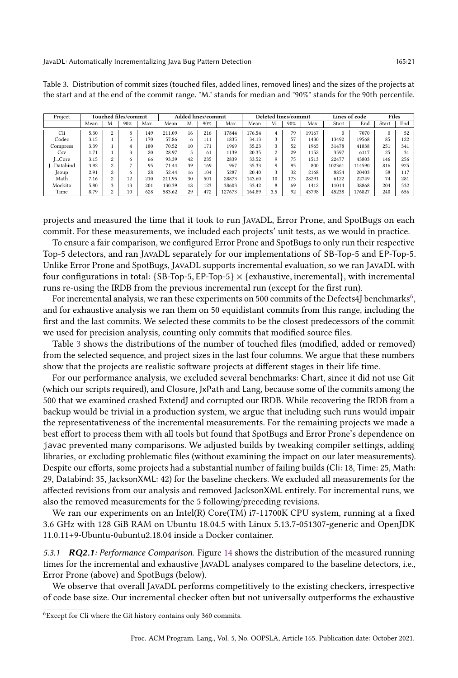| Project     | Touched files/commit |          |     | Added lines/commit |        |    | <b>Deleted lines/commit</b> |        |        |     | Lines of code |       | Files  |        |          |     |
|-------------|----------------------|----------|-----|--------------------|--------|----|-----------------------------|--------|--------|-----|---------------|-------|--------|--------|----------|-----|
|             | Mean                 | M.       | 90% | Max.               | Mean   | M. | 90%                         | Max.   | Mean   | M.  | 90%           | Max.  | Start  | End    | Start    | End |
| Cli         | 5.30                 | $\Omega$ | 8   | 149                | 211.09 | 16 | 216                         | 17844  | 176.54 |     | 79            | 19167 |        | 7070   | $\Omega$ | 52  |
| Codec       | 3.15                 |          |     | 170                | 57.86  | 6  | 111                         | 1835   | 34.13  |     | 57            | 1430  | 13492  | 19568  | 85       | 122 |
| Compress    | 3.39                 |          |     | 180                | 70.52  | 10 | 171                         | 1969   | 35.23  |     | 52            | 1965  | 31478  | 41838  | 251      | 341 |
| Csv         | 1.71                 |          |     | 20                 | 28.97  |    | 61                          | 1139   | 20.35  |     | 29            | 1152  | 3597   | 6117   | 25       | 31  |
| LCore       | 3.15                 | $\sim$   | 6   | 66                 | 93.39  | 42 | 235                         | 2839   | 33.52  |     | 75            | 1513  | 22477  | 43803  | 146      | 256 |
| L.Databind  | 3.92                 | $\sim$   |     | 95                 | 71.44  | 39 | 169                         | 967    | 35.33  |     | 95            | 800   | 102361 | 114590 | 816      | 925 |
| <b>Soup</b> | 2.91                 | $\sim$   | o   | 28                 | 52.44  | 16 | 104                         | 5287   | 20.40  |     | 32            | 2168  | 8854   | 20403  | 58       | 117 |
| Math        | 7.16                 | $\sim$   | 12  | 210                | 211.95 | 30 | 501                         | 28873  | 143.60 | 10  | 173           | 28291 | 6122   | 22749  | 74       | 281 |
| Mockito     | 5.80                 |          | 13  | 201                | 130.39 | 18 | 123                         | 38603  | 33.42  | 8   | 69            | 1412  | 11014  | 38868  | 204      | 532 |
| Time        | 8.79                 | $\sim$   | 10  | 628                | 583.62 | 29 | 472                         | 127673 | 164.89 | 3.5 | 92            | 43798 | 45238  | 176827 | 240      | 656 |

<span id="page-20-1"></span>Table 3. Distribution of commit sizes (touched files, added lines, removed lines) and the sizes of the projects at the start and at the end of the commit range. "M." stands for median and "90%" stands for the 90th percentile.

projects and measured the time that it took to run JavaDL, Error Prone, and SpotBugs on each commit. For these measurements, we included each projects' unit tests, as we would in practice.

To ensure a fair comparison, we configured Error Prone and SpotBugs to only run their respective Top-5 detectors, and ran JavaDL separately for our implementations of SB-Top-5 and EP-Top-5. Unlike Error Prone and SpotBugs, JavaDL supports incremental evaluation, so we ran JavaDL with four configurations in total:  ${S}B$ -Top-5, EP-Top-5}  $\times$  {exhaustive, incremental}, with incremental runs re-using the IRDB from the previous incremental run (except for the first run).

For incremental analysis, we ran these experiments on 500 commits of the Defects4J benchmarks $^6,$  $^6,$  $^6,$ and for exhaustive analysis we ran them on 50 equidistant commits from this range, including the first and the last commits. We selected these commits to be the closest predecessors of the commit we used for precision analysis, counting only commits that modified source files.

Table [3](#page-20-1) shows the distributions of the number of touched files (modified, added or removed) from the selected sequence, and project sizes in the last four columns. We argue that these numbers show that the projects are realistic software projects at different stages in their life time.

For our performance analysis, we excluded several benchmarks: Chart, since it did not use Git (which our scripts required), and Closure, JxPath and Lang, because some of the commits among the 500 that we examined crashed ExtendJ and corrupted our IRDB. While recovering the IRDB from a backup would be trivial in a production system, we argue that including such runs would impair the representativeness of the incremental measurements. For the remaining projects we made a best effort to process them with all tools but found that SpotBugs and Error Prone's dependence on javac prevented many comparisons. We adjusted builds by tweaking compiler settings, adding libraries, or excluding problematic files (without examining the impact on our later measurements). Despite our efforts, some projects had a substantial number of failing builds (Cli: 18, Time: 25, Math: 29, Databind: 35, JacksonXML: 42) for the baseline checkers. We excluded all measurements for the affected revisions from our analysis and removed JacksonXML entirely. For incremental runs, we also the removed measurements for the 5 following/preceding revisions.

We ran our experiments on an Intel(R) Core(TM)  $i7-11700K$  CPU system, running at a fixed 3.6 GHz with 128 GiB RAM on Ubuntu 18.04.5 with Linux 5.13.7-051307-generic and OpenJDK 11.0.11+9-Ubuntu-0ubuntu2.18.04 inside a Docker container.

5.3.1 **RQ2.1**: Performance Comparison. Figure [14](#page-21-0) shows the distribution of the measured running times for the incremental and exhaustive JavaDL analyses compared to the baseline detectors, i.e., Error Prone (above) and SpotBugs (below).

We observe that overall JavaDL performs competitively to the existing checkers, irrespective of code base size. Our incremental checker often but not universally outperforms the exhaustive

<span id="page-20-0"></span><sup>6</sup>Except for Cli where the Git history contains only 360 commits.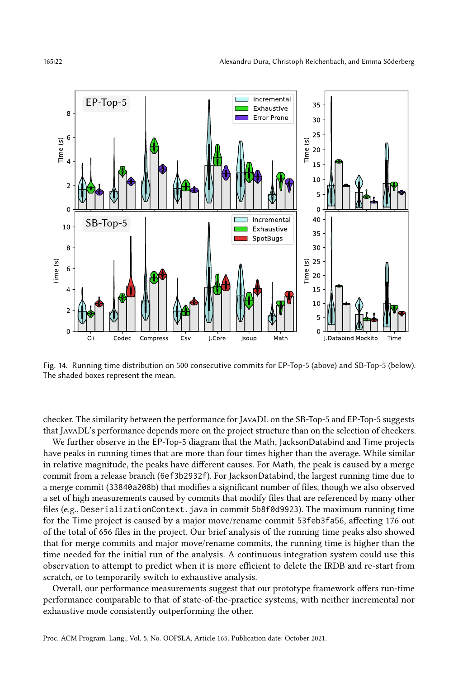<span id="page-21-0"></span>

Fig. 14. Running time distribution on 500 consecutive commits for EP-Top-5 (above) and SB-Top-5 (below). The shaded boxes represent the mean.

checker. The similarity between the performance for JavaDL on the SB-Top-5 and EP-Top-5 suggests that JavaDL's performance depends more on the project structure than on the selection of checkers.

We further observe in the EP-Top-5 diagram that the Math, JacksonDatabind and Time projects have peaks in running times that are more than four times higher than the average. While similar in relative magnitude, the peaks have different causes. For Math, the peak is caused by a merge commit from a release branch (6ef3b2932f). For JacksonDatabind, the largest running time due to a merge commit (33840a208b) that modifies a significant number of files, though we also observed a set of high measurements caused by commits that modify files that are referenced by many other files (e.g., DeserializationContext.java in commit 5b8f0d9923). The maximum running time for the Time project is caused by a major move/rename commit 53feb3fa56, affecting 176 out of the total of 656 files in the project. Our brief analysis of the running time peaks also showed that for merge commits and major move/rename commits, the running time is higher than the time needed for the initial run of the analysis. A continuous integration system could use this observation to attempt to predict when it is more efficient to delete the IRDB and re-start from scratch, or to temporarily switch to exhaustive analysis.

Overall, our performance measurements suggest that our prototype framework offers run-time performance comparable to that of state-of-the-practice systems, with neither incremental nor exhaustive mode consistently outperforming the other.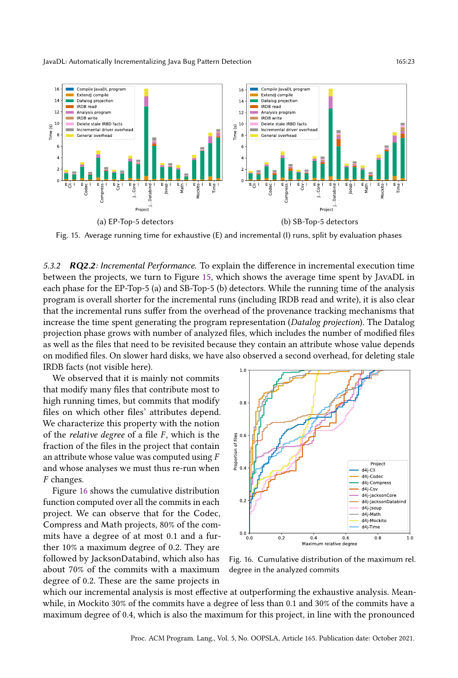<span id="page-22-0"></span>

Fig. 15. Average running time for exhaustive (E) and incremental (I) runs, split by evaluation phases

5.3.2 **RQ2.2**: Incremental Performance. To explain the difference in incremental execution time between the projects, we turn to Figure [15,](#page-22-0) which shows the average time spent by JavaDL in each phase for the EP-Top-5 (a) and SB-Top-5 (b) detectors. While the running time of the analysis program is overall shorter for the incremental runs (including IRDB read and write), it is also clear that the incremental runs suffer from the overhead of the provenance tracking mechanisms that increase the time spent generating the program representation (Datalog projection). The Datalog projection phase grows with number of analyzed files, which includes the number of modified files as well as the files that need to be revisited because they contain an attribute whose value depends on modified files. On slower hard disks, we have also observed a second overhead, for deleting stale IRDB facts (not visible here).

We observed that it is mainly not commits that modify many files that contribute most to high running times, but commits that modify files on which other files' attributes depend. We characterize this property with the notion of the *relative degree* of a file  $F$ , which is the fraction of the files in the project that contain an attribute whose value was computed using F and whose analyses we must thus re-run when F changes.

Figure [16](#page-22-1) shows the cumulative distribution function computed over all the commits in each project. We can observe that for the Codec, Compress and Math projects, 80% of the commits have a degree of at most 0.1 and a further 10% a maximum degree of 0.2. They are followed by JacksonDatabind, which also has about 70% of the commits with a maximum degree of 0.2. These are the same projects in

<span id="page-22-1"></span>

Fig. 16. Cumulative distribution of the maximum rel. degree in the analyzed commits

which our incremental analysis is most effective at outperforming the exhaustive analysis. Meanwhile, in Mockito 30% of the commits have a degree of less than 0.1 and 30% of the commits have a maximum degree of 0.4, which is also the maximum for this project, in line with the pronounced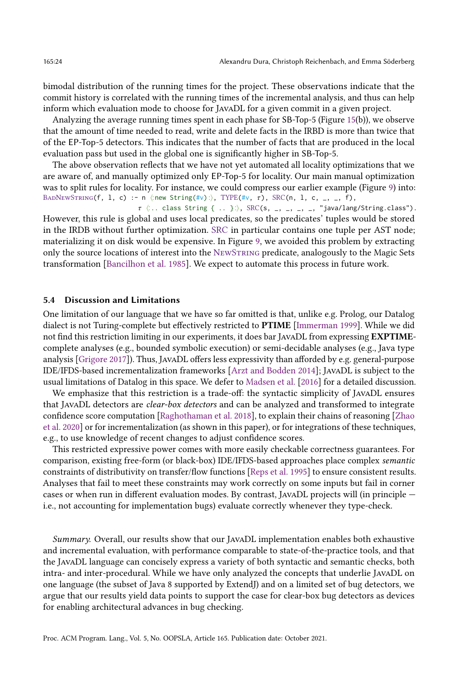bimodal distribution of the running times for the project. These observations indicate that the commit history is correlated with the running times of the incremental analysis, and thus can help inform which evaluation mode to choose for JavaDL for a given commit in a given project.

Analyzing the average running times spent in each phase for SB-Top-5 (Figure [15\(](#page-22-0)b)), we observe that the amount of time needed to read, write and delete facts in the IRBD is more than twice that of the EP-Top-5 detectors. This indicates that the number of facts that are produced in the local evaluation pass but used in the global one is significantly higher in SB-Top-5.

The above observation reflects that we have not yet automated all locality optimizations that we are aware of, and manually optimized only EP-Top-5 for locality. Our main manual optimization was to split rules for locality. For instance, we could compress our earlier example (Figure [9\)](#page-10-1) into: BADNEWSTRING(f, 1, c) :- n  $\langle$ :new String(#v): $\rangle$ , TYPE(#v,  $\tau$ ), SRC(n, 1, c, \_, \_, f),

 $\tau$   $\langle \dots$  class String  $\{\dots\} \rangle$ , SRC(s, \_, \_, \_, \_, \_, "java/lang/String.class"). However, this rule is global and uses local predicates, so the predicates' tuples would be stored in the IRDB without further optimization. SRC in particular contains one tuple per AST node; materializing it on disk would be expensive. In Figure [9,](#page-10-1) we avoided this problem by extracting only the source locations of interest into the NewString predicate, analogously to the Magic Sets transformation [\[Bancilhon et al. 1985\]](#page-27-12). We expect to automate this process in future work.

#### 5.4 Discussion and Limitations

One limitation of our language that we have so far omitted is that, unlike e.g. Prolog, our Datalog dialect is not Turing-complete but effectively restricted to PTIME [\[Immerman 1999\]](#page-28-9). While we did not find this restriction limiting in our experiments, it does bar JavaDL from expressing EXPTIMEcomplete analyses (e.g., bounded symbolic execution) or semi-decidable analyses (e.g., Java type analysis [\[Grigore 2017\]](#page-28-10)). Thus, JavaDL offers less expressivity than afforded by e.g. general-purpose IDE/IFDS-based incrementalization frameworks [\[Arzt and Bodden 2014\]](#page-27-10); JavaDL is subject to the usual limitations of Datalog in this space. We defer to [Madsen et al.](#page-28-1) [\[2016\]](#page-28-1) for a detailed discussion.

We emphasize that this restriction is a trade-off: the syntactic simplicity of JavaDL ensures that JavaDL detectors are clear-box detectors and can be analyzed and transformed to integrate confidence score computation [\[Raghothaman et al.](#page-29-0) [2018\]](#page-29-0), to explain their chains of reasoning [\[Zhao](#page-30-2) [et al.](#page-30-2) [2020\]](#page-30-2) or for incrementalization (as shown in this paper), or for integrations of these techniques, e.g., to use knowledge of recent changes to adjust confidence scores.

This restricted expressive power comes with more easily checkable correctness guarantees. For comparison, existing free-form (or black-box) IDE/IFDS-based approaches place complex semantic constraints of distributivity on transfer/flow functions [\[Reps et al.](#page-29-13) [1995\]](#page-29-13) to ensure consistent results. Analyses that fail to meet these constraints may work correctly on some inputs but fail in corner cases or when run in different evaluation modes. By contrast, JAVADL projects will (in principle  $$ i.e., not accounting for implementation bugs) evaluate correctly whenever they type-check.

Summary. Overall, our results show that our JavaDL implementation enables both exhaustive and incremental evaluation, with performance comparable to state-of-the-practice tools, and that the JavaDL language can concisely express a variety of both syntactic and semantic checks, both intra- and inter-procedural. While we have only analyzed the concepts that underlie JavaDL on one language (the subset of Java 8 supported by ExtendJ) and on a limited set of bug detectors, we argue that our results yield data points to support the case for clear-box bug detectors as devices for enabling architectural advances in bug checking.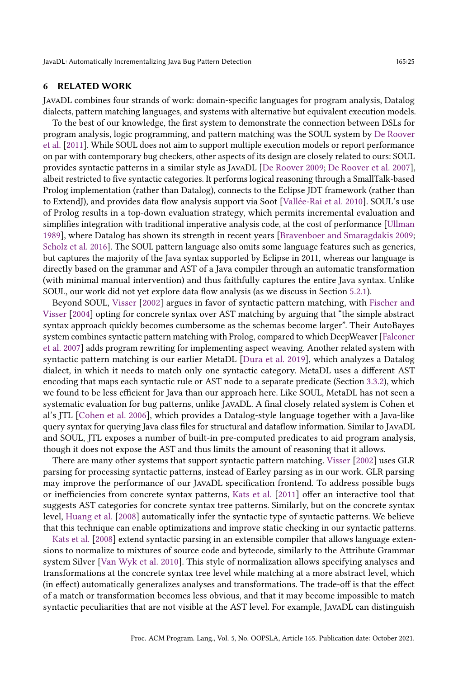#### 6 RELATED WORK

JavaDL combines four strands of work: domain-specific languages for program analysis, Datalog dialects, pattern matching languages, and systems with alternative but equivalent execution models.

To the best of our knowledge, the first system to demonstrate the connection between DSLs for program analysis, logic programming, and pattern matching was the SOUL system by [De Roover](#page-27-13) [et al.](#page-27-13) [\[2011\]](#page-27-13). While SOUL does not aim to support multiple execution models or report performance on par with contemporary bug checkers, other aspects of its design are closely related to ours: SOUL provides syntactic patterns in a similar style as JavaDL [\[De Roover 2009;](#page-27-14) [De Roover et al.](#page-27-8) [2007\]](#page-27-8), albeit restricted to five syntactic categories. It performs logical reasoning through a SmallTalk-based Prolog implementation (rather than Datalog), connects to the Eclipse JDT framework (rather than to ExtendJ), and provides data flow analysis support via Soot [\[Vallée-Rai et al.](#page-30-4) [2010\]](#page-30-4). SOUL's use of Prolog results in a top-down evaluation strategy, which permits incremental evaluation and simplifies integration with traditional imperative analysis code, at the cost of performance [\[Ullman](#page-30-5) [1989\]](#page-30-5), where Datalog has shown its strength in recent years [\[Bravenboer and Smaragdakis 2009;](#page-27-15) [Scholz et al.](#page-29-3) [2016\]](#page-29-3). The SOUL pattern language also omits some language features such as generics, but captures the majority of the Java syntax supported by Eclipse in 2011, whereas our language is directly based on the grammar and AST of a Java compiler through an automatic transformation (with minimal manual intervention) and thus faithfully captures the entire Java syntax. Unlike SOUL, our work did not yet explore data flow analysis (as we discuss in Section [5.2.1\)](#page-16-0).

Beyond SOUL, [Visser](#page-30-6) [\[2002\]](#page-30-6) argues in favor of syntactic pattern matching, with [Fischer and](#page-28-11) [Visser](#page-28-11) [\[2004\]](#page-28-11) opting for concrete syntax over AST matching by arguing that "the simple abstract syntax approach quickly becomes cumbersome as the schemas become larger". Their AutoBayes system combines syntactic pattern matching with Prolog, compared to which DeepWeaver [\[Falconer](#page-28-12) [et al.](#page-28-12) [2007\]](#page-28-12) adds program rewriting for implementing aspect weaving. Another related system with syntactic pattern matching is our earlier MetaDL [\[Dura et al.](#page-27-7) [2019\]](#page-27-7), which analyzes a Datalog dialect, in which it needs to match only one syntactic category. MetaDL uses a different AST encoding that maps each syntactic rule or AST node to a separate predicate (Section [3.3.2\)](#page-8-0), which we found to be less efficient for Java than our approach here. Like SOUL, MetaDL has not seen a systematic evaluation for bug patterns, unlike JavaDL. A final closely related system is Cohen et al's JTL [\[Cohen et al.](#page-27-16) [2006\]](#page-27-16), which provides a Datalog-style language together with a Java-like query syntax for querying Java class files for structural and dataflow information. Similar to JavaDL and SOUL, JTL exposes a number of built-in pre-computed predicates to aid program analysis, though it does not expose the AST and thus limits the amount of reasoning that it allows.

There are many other systems that support syntactic pattern matching. [Visser](#page-30-6) [\[2002\]](#page-30-6) uses GLR parsing for processing syntactic patterns, instead of Earley parsing as in our work. GLR parsing may improve the performance of our JavaDL specification frontend. To address possible bugs or inefficiencies from concrete syntax patterns, [Kats et al.](#page-28-13) [\[2011\]](#page-28-13) offer an interactive tool that suggests AST categories for concrete syntax tree patterns. Similarly, but on the concrete syntax level, [Huang et al.](#page-28-14) [\[2008\]](#page-28-14) automatically infer the syntactic type of syntactic patterns. We believe that this technique can enable optimizations and improve static checking in our syntactic patterns.

[Kats et al.](#page-28-15) [\[2008\]](#page-28-15) extend syntactic parsing in an extensible compiler that allows language extensions to normalize to mixtures of source code and bytecode, similarly to the Attribute Grammar system Silver [\[Van Wyk et al.](#page-30-7) [2010\]](#page-30-7). This style of normalization allows specifying analyses and transformations at the concrete syntax tree level while matching at a more abstract level, which (in effect) automatically generalizes analyses and transformations. The trade-off is that the effect of a match or transformation becomes less obvious, and that it may become impossible to match syntactic peculiarities that are not visible at the AST level. For example, JavaDL can distinguish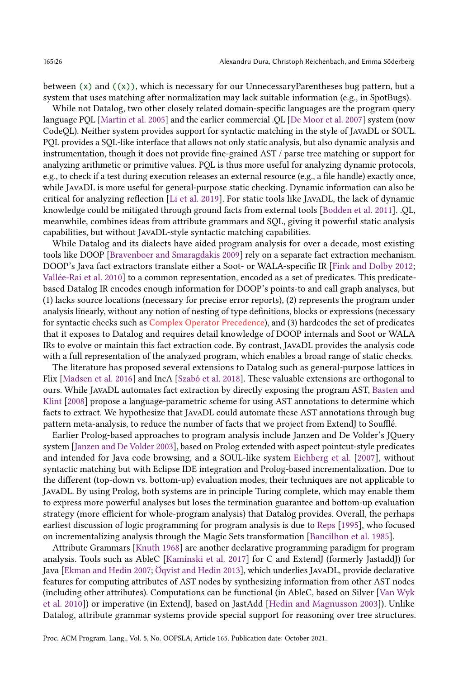between  $(x)$  and  $((x))$ , which is necessary for our UnnecessaryParentheses bug pattern, but a system that uses matching after normalization may lack suitable information (e.g., in SpotBugs).

While not Datalog, two other closely related domain-specific languages are the program query language PQL [\[Martin et al.](#page-29-14) [2005\]](#page-29-14) and the earlier commercial .QL [\[De Moor et al.](#page-27-17) [2007\]](#page-27-17) system (now CodeQL). Neither system provides support for syntactic matching in the style of JavaDL or SOUL. PQL provides a SQL-like interface that allows not only static analysis, but also dynamic analysis and instrumentation, though it does not provide fine-grained AST / parse tree matching or support for analyzing arithmetic or primitive values. PQL is thus more useful for analyzing dynamic protocols, e.g., to check if a test during execution releases an external resource (e.g., a file handle) exactly once, while JavaDL is more useful for general-purpose static checking. Dynamic information can also be critical for analyzing reflection [\[Li et al.](#page-28-16) [2019\]](#page-28-16). For static tools like JavaDL, the lack of dynamic knowledge could be mitigated through ground facts from external tools [\[Bodden et al. 2011\]](#page-27-18). .QL, meanwhile, combines ideas from attribute grammars and SQL, giving it powerful static analysis capabilities, but without JavaDL-style syntactic matching capabilities.

While Datalog and its dialects have aided program analysis for over a decade, most existing tools like DOOP [\[Bravenboer and Smaragdakis 2009\]](#page-27-15) rely on a separate fact extraction mechanism. DOOP's Java fact extractors translate either a Soot- or WALA-specific IR [\[Fink and Dolby 2012;](#page-28-17) [Vallée-Rai et al.](#page-30-4) [2010\]](#page-30-4) to a common representation, encoded as a set of predicates. This predicatebased Datalog IR encodes enough information for DOOP's points-to and call graph analyses, but (1) lacks source locations (necessary for precise error reports), (2) represents the program under analysis linearly, without any notion of nesting of type definitions, blocks or expressions (necessary for syntactic checks such as Complex Operator Precedence), and (3) hardcodes the set of predicates that it exposes to Datalog and requires detail knowledge of DOOP internals and Soot or WALA IRs to evolve or maintain this fact extraction code. By contrast, JavaDL provides the analysis code with a full representation of the analyzed program, which enables a broad range of static checks.

The literature has proposed several extensions to Datalog such as general-purpose lattices in Flix [\[Madsen et al.](#page-28-1) [2016\]](#page-28-1) and IncA [\[Szabó et al.](#page-29-1) [2018\]](#page-29-1). These valuable extensions are orthogonal to ours. While JavaDL automates fact extraction by directly exposing the program AST, [Basten and](#page-27-19) [Klint](#page-27-19) [\[2008\]](#page-27-19) propose a language-parametric scheme for using AST annotations to determine which facts to extract. We hypothesize that JavaDL could automate these AST annotations through bug pattern meta-analysis, to reduce the number of facts that we project from ExtendJ to Soufflé.

Earlier Prolog-based approaches to program analysis include Janzen and De Volder's JQuery system [\[Janzen and De Volder 2003\]](#page-28-18), based on Prolog extended with aspect pointcut-style predicates and intended for Java code browsing, and a SOUL-like system [Eichberg et al.](#page-28-19) [\[2007\]](#page-28-19), without syntactic matching but with Eclipse IDE integration and Prolog-based incrementalization. Due to the different (top-down vs. bottom-up) evaluation modes, their techniques are not applicable to JavaDL. By using Prolog, both systems are in principle Turing complete, which may enable them to express more powerful analyses but loses the termination guarantee and bottom-up evaluation strategy (more efficient for whole-program analysis) that Datalog provides. Overall, the perhaps earliest discussion of logic programming for program analysis is due to [Reps](#page-29-15) [\[1995\]](#page-29-15), who focused on incrementalizing analysis through the Magic Sets transformation [\[Bancilhon et al. 1985\]](#page-27-12).

Attribute Grammars [\[Knuth 1968\]](#page-28-20) are another declarative programming paradigm for program analysis. Tools such as AbleC [\[Kaminski et al.](#page-28-21) [2017\]](#page-28-21) for C and ExtendJ (formerly JastaddJ) for Java [\[Ekman and Hedin 2007;](#page-28-2) [Öqvist and Hedin 2013\]](#page-29-16), which underlies JavaDL, provide declarative features for computing attributes of AST nodes by synthesizing information from other AST nodes (including other attributes). Computations can be functional (in AbleC, based on Silver [\[Van Wyk](#page-30-7) [et al.](#page-30-7) [2010\]](#page-30-7)) or imperative (in ExtendJ, based on JastAdd [\[Hedin and Magnusson 2003\]](#page-28-5)). Unlike Datalog, attribute grammar systems provide special support for reasoning over tree structures.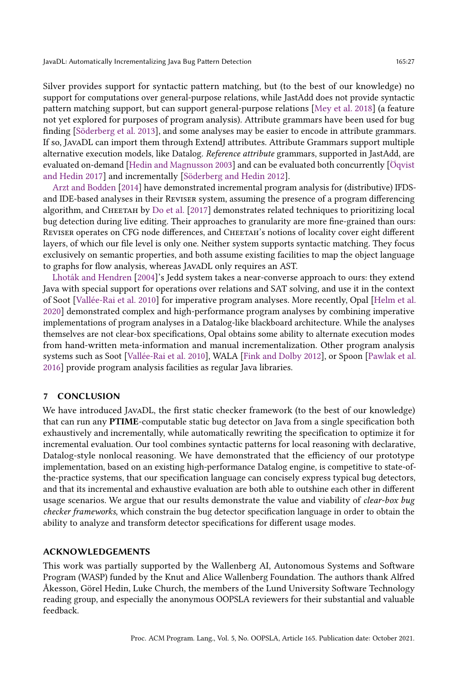Silver provides support for syntactic pattern matching, but (to the best of our knowledge) no support for computations over general-purpose relations, while JastAdd does not provide syntactic pattern matching support, but can support general-purpose relations [\[Mey et al.](#page-29-17) [2018\]](#page-29-17) (a feature not yet explored for purposes of program analysis). Attribute grammars have been used for bug finding [\[Söderberg et al.](#page-29-11) [2013\]](#page-29-11), and some analyses may be easier to encode in attribute grammars. If so, JavaDL can import them through ExtendJ attributes. Attribute Grammars support multiple alternative execution models, like Datalog. Reference attribute grammars, supported in JastAdd, are evaluated on-demand [\[Hedin and Magnusson 2003\]](#page-28-5) and can be evaluated both concurrently [\[Öqvist](#page-29-18) [and Hedin 2017\]](#page-29-18) and incrementally [\[Söderberg and Hedin 2012\]](#page-29-19).

[Arzt and Bodden](#page-27-10) [\[2014\]](#page-27-10) have demonstrated incremental program analysis for (distributive) IFDSand IDE-based analyses in their Reviser system, assuming the presence of a program differencing algorithm, and CHEETAH by [Do et al.](#page-27-20) [\[2017\]](#page-27-20) demonstrates related techniques to prioritizing local bug detection during live editing. Their approaches to granularity are more fine-grained than ours: REVISER operates on CFG node differences, and CHEETAH's notions of locality cover eight different layers, of which our file level is only one. Neither system supports syntactic matching. They focus exclusively on semantic properties, and both assume existing facilities to map the object language to graphs for flow analysis, whereas JavaDL only requires an AST.

[Lhoták and Hendren](#page-28-22) [\[2004\]](#page-28-22)'s Jedd system takes a near-converse approach to ours: they extend Java with special support for operations over relations and SAT solving, and use it in the context of Soot [\[Vallée-Rai et al.](#page-30-4) [2010\]](#page-30-4) for imperative program analyses. More recently, Opal [\[Helm et al.](#page-28-23) [2020\]](#page-28-23) demonstrated complex and high-performance program analyses by combining imperative implementations of program analyses in a Datalog-like blackboard architecture. While the analyses themselves are not clear-box specifications, Opal obtains some ability to alternate execution modes from hand-written meta-information and manual incrementalization. Other program analysis systems such as Soot [\[Vallée-Rai et al.](#page-30-4) [2010\]](#page-30-4), WALA [\[Fink and Dolby 2012\]](#page-28-17), or Spoon [\[Pawlak et al.](#page-29-20) [2016\]](#page-29-20) provide program analysis facilities as regular Java libraries.

## 7 CONCLUSION

We have introduced JavaDL, the first static checker framework (to the best of our knowledge) that can run any PTIME-computable static bug detector on Java from a single specification both exhaustively and incrementally, while automatically rewriting the specification to optimize it for incremental evaluation. Our tool combines syntactic patterns for local reasoning with declarative, Datalog-style nonlocal reasoning. We have demonstrated that the efficiency of our prototype implementation, based on an existing high-performance Datalog engine, is competitive to state-ofthe-practice systems, that our specification language can concisely express typical bug detectors, and that its incremental and exhaustive evaluation are both able to outshine each other in different usage scenarios. We argue that our results demonstrate the value and viability of *clear-box bug* checker frameworks, which constrain the bug detector specification language in order to obtain the ability to analyze and transform detector specifications for different usage modes.

#### ACKNOWLEDGEMENTS

This work was partially supported by the Wallenberg AI, Autonomous Systems and Software Program (WASP) funded by the Knut and Alice Wallenberg Foundation. The authors thank Alfred Åkesson, Görel Hedin, Luke Church, the members of the Lund University Software Technology reading group, and especially the anonymous OOPSLA reviewers for their substantial and valuable feedback.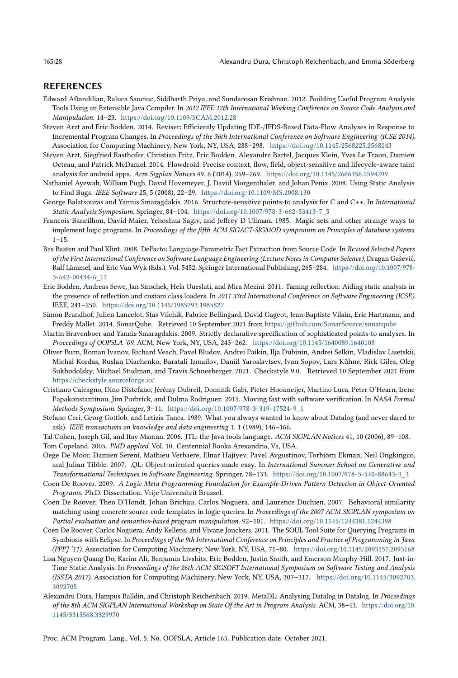#### REFERENCES

- <span id="page-27-4"></span>Edward Aftandilian, Raluca Sauciuc, Siddharth Priya, and Sundaresan Krishnan. 2012. Building Useful Program Analysis Tools Using an Extensible Java Compiler. In 2012 IEEE 12th International Working Conference on Source Code Analysis and Manipulation. 14-23. <https://doi.org/10.1109/SCAM.2012.28>
- <span id="page-27-10"></span>Steven Arzt and Eric Bodden. 2014. Reviser: Efficiently Updating IDE-/IFDS-Based Data-Flow Analyses in Response to Incremental Program Changes. In Proceedings of the 36th International Conference on Software Engineering (ICSE 2014). Association for Computing Machinery, New York, NY, USA, 288-298. <https://doi.org/10.1145/2568225.2568243>
- <span id="page-27-11"></span>Steven Arzt, Siegfried Rasthofer, Christian Fritz, Eric Bodden, Alexandre Bartel, Jacques Klein, Yves Le Traon, Damien Octeau, and Patrick McDaniel. 2014. Flowdroid: Precise context, flow, field, object-sensitive and lifecycle-aware taint analysis for android apps. Acm Sigplan Notices 49, 6 (2014), 259-269. <https://doi.org/10.1145/2666356.2594299>
- <span id="page-27-0"></span>Nathaniel Ayewah, William Pugh, David Hovemeyer, J. David Morgenthaler, and Johan Penix. 2008. Using Static Analysis to Find Bugs. IEEE Software 25, 5 (2008), 22-29. <https://doi.org/10.1109/MS.2008.130>
- <span id="page-27-6"></span>George Balatsouras and Yannis Smaragdakis. 2016. Structure-sensitive points-to analysis for C and C++. In International Static Analysis Symposium. Springer, 84-104. [https://doi.org/10.1007/978-3-662-53413-7\\_5](https://doi.org/10.1007/978-3-662-53413-7_5)
- <span id="page-27-12"></span>Francois Bancilhon, David Maier, Yehoshua Sagiv, and Jeffrey D Ullman. 1985. Magic sets and other strange ways to implement logic programs. In Proceedings of the fifth ACM SIGACT-SIGMOD symposium on Principles of database systems.  $1 - 15$ .
- <span id="page-27-19"></span>Bas Basten and Paul Klint. 2008. DeFacto: Language-Parametric Fact Extraction from Source Code. In Revised Selected Papers of the First International Conference on Software Language Engineering (Lecture Notes in Computer Science), Dragan Gašević, Ralf Lämmel, and Eric Van Wyk (Eds.), Vol. 5452. Springer International Publishing, 265-284. [https://doi.org/10.1007/978-](https://doi.org/10.1007/978-3-642-00434-6_17) [3-642-00434-6\\_17](https://doi.org/10.1007/978-3-642-00434-6_17)
- <span id="page-27-18"></span>Eric Bodden, Andreas Sewe, Jan Sinschek, Hela Oueslati, and Mira Mezini. 2011. Taming reflection: Aiding static analysis in the presence of reflection and custom class loaders. In 2011 33rd International Conference on Software Engineering (ICSE). IEEE, 241-250. <https://doi.org/10.1145/1985793.1985827>
- <span id="page-27-3"></span>Simon Brandhof, Julien Lancelot, Stas Vilchik, Fabrice Bellingard, David Gageot, Jean-Baptiste Vilain, Eric Hartmann, and Freddy Mallet. 2014. SonarQube. Retrieved 10 September 2021 from <https://github.com/SonarSource/sonarqube>
- <span id="page-27-15"></span>Martin Bravenboer and Yannis Smaragdakis. 2009. Strictly declarative specification of sophisticated points-to analyses. In Proceedings of OOPSLA '09. ACM, New York, NY, USA, 243-262. <https://doi.org/10.1145/1640089.1640108>
- <span id="page-27-1"></span>Oliver Burn, Roman Ivanov, Richard Veach, Pavel Bludov, Andrei Paikin, Ilja Dubinin, Andrei Selkin, Vladislav Lisetskii, Michał Kordas, Ruslan Diachenko, Baratali Izmailov, Daniil Yaroslavtsev, Ivan Sopov, Lars Kühne, Rick Giles, Oleg Sukhodolsky, Michael Studman, and Travis Schneeberger. 2021. Checkstyle 9.0. Retrieved 10 September 2021 from <https://checkstyle.sourceforge.io/>
- <span id="page-27-9"></span>Cristiano Calcagno, Dino Distefano, Jérémy Dubreil, Dominik Gabi, Pieter Hooimeijer, Martino Luca, Peter O'Hearn, Irene Papakonstantinou, Jim Purbrick, and Dulma Rodriguez. 2015. Moving fast with software verification. In NASA Formal Methods Symposium. Springer, 3-11. [https://doi.org/10.1007/978-3-319-17524-9\\_1](https://doi.org/10.1007/978-3-319-17524-9_1)
- <span id="page-27-5"></span>Stefano Ceri, Georg Gottlob, and Letizia Tanca. 1989. What you always wanted to know about Datalog (and never dared to ask). IEEE transactions on knowledge and data engineering 1, 1 (1989), 146-166.
- <span id="page-27-16"></span><span id="page-27-2"></span>Tal Cohen, Joseph Gil, and Itay Maman. 2006. JTL: the Java tools language. ACM SIGPLAN Notices 41, 10 (2006), 89-108. Tom Copeland. 2005. PMD applied. Vol. 10. Centennial Books Arexandria, Va, USA.
- <span id="page-27-17"></span>Oege De Moor, Damien Sereni, Mathieu Verbaere, Elnar Hajiyev, Pavel Avgustinov, Torbjörn Ekman, Neil Ongkingco, and Julian Tibble. 2007. .QL: Object-oriented queries made easy. In International Summer School on Generative and Transformational Techniques in Software Engineering. Springer, 78–133. [https://doi.org/10.1007/978-3-540-88643-3\\_3](https://doi.org/10.1007/978-3-540-88643-3_3)\_
- <span id="page-27-14"></span>Coen De Roover. 2009. A Logic Meta Programming Foundation for Example-Driven Pattern Detection in Object-Oriented Programs. Ph.D. Dissertation. Vrije Universiteit Brussel.
- <span id="page-27-8"></span>Coen De Roover, Theo D'Hondt, Johan Brichau, Carlos Noguera, and Laurence Duchien. 2007. Behavioral similarity matching using concrete source code templates in logic queries. In Proceedings of the 2007 ACM SIGPLAN symposium on Partial evaluation and semantics-based program manipulation. 92-101. <https://doi.org/10.1145/1244381.1244398>
- <span id="page-27-13"></span>Coen De Roover, Carlos Noguera, Andy Kellens, and Vivane Jonckers. 2011. The SOUL Tool Suite for Querying Programs in Symbiosis with Eclipse. In Proceedings of the 9th International Conference on Principles and Practice of Programming in Java (PPPJ '11). Association for Computing Machinery, New York, NY, USA, 71-80. <https://doi.org/10.1145/2093157.2093168>
- <span id="page-27-20"></span>Lisa Nguyen Quang Do, Karim Ali, Benjamin Livshits, Eric Bodden, Justin Smith, and Emerson Murphy-Hill. 2017. Just-in-Time Static Analysis. In Proceedings of the 26th ACM SIGSOFT International Symposium on Software Testing and Analysis (ISSTA 2017). Association for Computing Machinery, New York, NY, USA, 307-317. [https://doi.org/10.1145/3092703.](https://doi.org/10.1145/3092703.3092705) [3092705](https://doi.org/10.1145/3092703.3092705)
- <span id="page-27-7"></span>Alexandru Dura, Hampus Balldin, and Christoph Reichenbach. 2019. MetaDL: Analysing Datalog in Datalog. In Proceedings of the 8th ACM SIGPLAN International Workshop on State Of the Art in Program Analysis. ACM, 38-43. [https://doi.org/10.](https://doi.org/10.1145/3315568.3329970) [1145/3315568.3329970](https://doi.org/10.1145/3315568.3329970)

Proc. ACM Program. Lang., Vol. 5, No. OOPSLA, Article 165. Publication date: October 2021.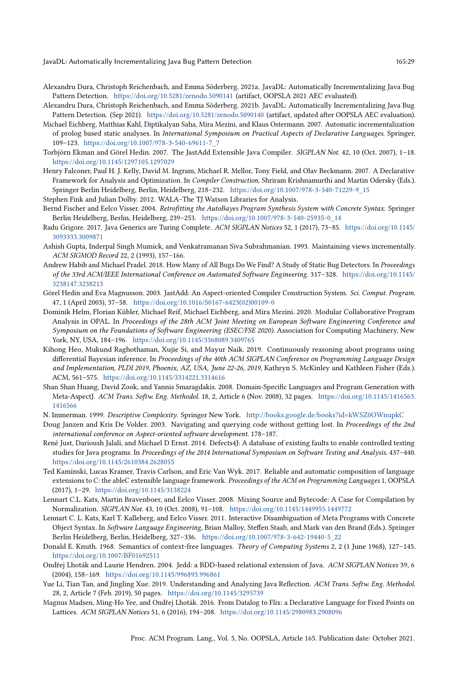- <span id="page-28-3"></span>Alexandru Dura, Christoph Reichenbach, and Emma Söderberg. 2021a. JavaDL: Automatically Incrementalizing Java Bug Pattern Detection. <https://doi.org/10.5281/zenodo.5090141> (artifact, OOPSLA 2021 AEC evaluated).
- <span id="page-28-4"></span>Alexandru Dura, Christoph Reichenbach, and Emma Söderberg. 2021b. JavaDL: Automatically Incrementalizing Java Bug Pattern Detection. (Sep 2021). <https://doi.org/10.5281/zenodo.5090140> (artifact, updated after OOPSLA AEC evaluation).
- <span id="page-28-19"></span>Michael Eichberg, Matthias Kahl, Diptikalyan Saha, Mira Mezini, and Klaus Ostermann. 2007. Automatic incrementalization of prolog based static analyses. In International Symposium on Practical Aspects of Declarative Languages. Springer, 109-123. [https://doi.org/10.1007/978-3-540-69611-7\\_7](https://doi.org/10.1007/978-3-540-69611-7_7)
- <span id="page-28-2"></span>Torbjörn Ekman and Görel Hedin. 2007. The JastAdd Extensible Java Compiler. SIGPLAN Not. 42, 10 (Oct. 2007), 1-18. <https://doi.org/10.1145/1297105.1297029>
- <span id="page-28-12"></span>Henry Falconer, Paul H. J. Kelly, David M. Ingram, Michael R. Mellor, Tony Field, and Olav Beckmann. 2007. A Declarative Framework for Analysis and Optimization. In Compiler Construction, Shriram Krishnamurthi and Martin Odersky (Eds.). Springer Berlin Heidelberg, Berlin, Heidelberg, 218-232. [https://doi.org/10.1007/978-3-540-71229-9\\_15](https://doi.org/10.1007/978-3-540-71229-9_15)
- <span id="page-28-17"></span>Stephen Fink and Julian Dolby. 2012. WALA-The TJ Watson Libraries for Analysis.
- <span id="page-28-11"></span>Bernd Fischer and Eelco Visser. 2004. Retrofitting the AutoBayes Program Synthesis System with Concrete Syntax. Springer Berlin Heidelberg, Berlin, Heidelberg, 239-253. [https://doi.org/10.1007/978-3-540-25935-0\\_14](https://doi.org/10.1007/978-3-540-25935-0_14)
- <span id="page-28-10"></span>Radu Grigore. 2017. Java Generics are Turing Complete. ACM SIGPLAN Notices 52, 1 (2017), 73-85. [https://doi.org/10.1145/](https://doi.org/10.1145/3093333.3009871) [3093333.3009871](https://doi.org/10.1145/3093333.3009871)
- <span id="page-28-6"></span>Ashish Gupta, Inderpal Singh Mumick, and Venkatramanan Siva Subrahmanian. 1993. Maintaining views incrementally. ACM SIGMOD Record 22, 2 (1993), 157-166.
- <span id="page-28-7"></span>Andrew Habib and Michael Pradel. 2018. How Many of All Bugs Do We Find? A Study of Static Bug Detectors. In Proceedings of the 33rd ACM/IEEE International Conference on Automated Software Engineering. 317-328. [https://doi.org/10.1145/](https://doi.org/10.1145/3238147.3238213) [3238147.3238213](https://doi.org/10.1145/3238147.3238213)
- <span id="page-28-5"></span>Görel Hedin and Eva Magnusson. 2003. JastAdd: An Aspect-oriented Compiler Construction System. Sci. Comput. Program. 47, 1 (April 2003), 37-58. [https://doi.org/10.1016/S0167-6423\(02\)00109-0](https://doi.org/10.1016/S0167-6423(02)00109-0)
- <span id="page-28-23"></span>Dominik Helm, Florian Kübler, Michael Reif, Michael Eichberg, and Mira Mezini. 2020. Modular Collaborative Program Analysis in OPAL. In Proceedings of the 28th ACM Joint Meeting on European Software Engineering Conference and Symposium on the Foundations of Software Engineering (ESEC/FSE 2020). Association for Computing Machinery, New York, NY, USA, 184-196. <https://doi.org/10.1145/3368089.3409765>
- <span id="page-28-0"></span>Kihong Heo, Mukund Raghothaman, Xujie Si, and Mayur Naik. 2019. Continuously reasoning about programs using differential Bayesian inference. In Proceedings of the 40th ACM SIGPLAN Conference on Programming Language Design and Implementation, PLDI 2019, Phoenix, AZ, USA, June 22-26, 2019, Kathryn S. McKinley and Kathleen Fisher (Eds.). ACM, 561-575. <https://doi.org/10.1145/3314221.3314616>
- <span id="page-28-14"></span>Shan Shan Huang, David Zook, and Yannis Smaragdakis. 2008. Domain-Specific Languages and Program Generation with Meta-AspectJ. ACM Trans. Softw. Eng. Methodol. 18, 2, Article 6 (Nov. 2008), 32 pages. [https://doi.org/10.1145/1416563.](https://doi.org/10.1145/1416563.1416566) [1416566](https://doi.org/10.1145/1416563.1416566)
- <span id="page-28-9"></span>N. Immerman. 1999. Descriptive Complexity. Springer New York. <http://books.google.de/books?id=kWSZ0OWnupkC>
- <span id="page-28-18"></span>Doug Janzen and Kris De Volder. 2003. Navigating and querying code without getting lost. In Proceedings of the 2nd international conference on Aspect-oriented software development. 178-187.
- <span id="page-28-8"></span>René Just, Darioush Jalali, and Michael D Ernst. 2014. Defects4J: A database of existing faults to enable controlled testing studies for Java programs. In Proceedings of the 2014 International Symposium on Software Testing and Analysis. 437-440. <https://doi.org/10.1145/2610384.2628055>
- <span id="page-28-21"></span>Ted Kaminski, Lucas Kramer, Travis Carlson, and Eric Van Wyk. 2017. Reliable and automatic composition of language extensions to C: the ableC extensible language framework. Proceedings of the ACM on Programming Languages 1, OOPSLA (2017), 1-29. <https://doi.org/10.1145/3138224>
- <span id="page-28-15"></span>Lennart C.L. Kats, Martin Bravenboer, and Eelco Visser. 2008. Mixing Source and Bytecode: A Case for Compilation by Normalization. SIGPLAN Not. 43, 10 (Oct. 2008), 91-108. <https://doi.org/10.1145/1449955.1449772>
- <span id="page-28-13"></span>Lennart C. L. Kats, Karl T. Kalleberg, and Eelco Visser. 2011. Interactive Disambiguation of Meta Programs with Concrete Object Syntax. In Software Language Engineering, Brian Malloy, Steffen Staab, and Mark van den Brand (Eds.). Springer Berlin Heidelberg, Berlin, Heidelberg, 327-336. [https://doi.org/10.1007/978-3-642-19440-5\\_22](https://doi.org/10.1007/978-3-642-19440-5_22)
- <span id="page-28-20"></span>Donald E. Knuth. 1968. Semantics of context-free languages. Theory of Computing Systems 2, 2 (1 June 1968), 127-145. <https://doi.org/10.1007/BF01692511>
- <span id="page-28-22"></span>Ondřej Lhoták and Laurie Hendren. 2004. Jedd: a BDD-based relational extension of Java. ACM SIGPLAN Notices 39, 6 (2004), 158-169. <https://doi.org/10.1145/996893.996861>
- <span id="page-28-16"></span>Yue Li, Tian Tan, and Jingling Xue. 2019. Understanding and Analyzing Java Reflection. ACM Trans. Softw. Eng. Methodol. 28, 2, Article 7 (Feb. 2019), 50 pages. <https://doi.org/10.1145/3295739>
- <span id="page-28-1"></span>Magnus Madsen, Ming-Ho Yee, and Ondřej Lhoták. 2016. From Datalog to Flix: a Declarative Language for Fixed Points on Lattices. ACM SIGPLAN Notices 51, 6 (2016), 194-208. <https://doi.org/10.1145/2980983.2908096>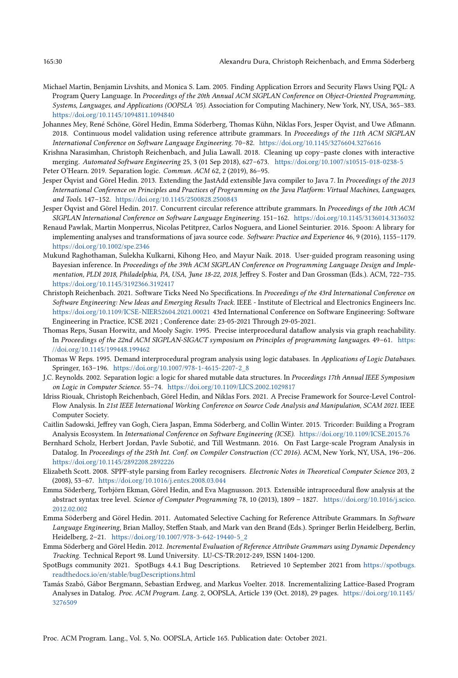- <span id="page-29-14"></span>Michael Martin, Benjamin Livshits, and Monica S. Lam. 2005. Finding Application Errors and Security Flaws Using PQL: A Program Query Language. In Proceedings of the 20th Annual ACM SIGPLAN Conference on Object-Oriented Programming, Systems, Languages, and Applications (OOPSLA '05). Association for Computing Machinery, New York, NY, USA, 365-383. <https://doi.org/10.1145/1094811.1094840>
- <span id="page-29-17"></span>Johannes Mey, René Schöne, Görel Hedin, Emma Söderberg, Thomas Kühn, Niklas Fors, Jesper Öqvist, and Uwe Aßmann. 2018. Continuous model validation using reference attribute grammars. In Proceedings of the 11th ACM SIGPLAN International Conference on Software Language Engineering. 70-82. <https://doi.org/10.1145/3276604.3276616>
- <span id="page-29-6"></span>Krishna Narasimhan, Christoph Reichenbach, and Julia Lawall. 2018. Cleaning up copy-paste clones with interactive merging. Automated Software Engineering 25, 3 (01 Sep 2018), 627-673. <https://doi.org/10.1007/s10515-018-0238-5>
- <span id="page-29-8"></span>Peter O'Hearn. 2019. Separation logic. Commun. ACM 62, 2 (2019), 86-95.
- <span id="page-29-16"></span>Jesper Öqvist and Görel Hedin. 2013. Extending the JastAdd extensible Java compiler to Java 7. In Proceedings of the 2013 International Conference on Principles and Practices of Programming on the Java Platform: Virtual Machines, Languages, and Tools. 147-152. <https://doi.org/10.1145/2500828.2500843>
- <span id="page-29-18"></span>Jesper Öqvist and Görel Hedin. 2017. Concurrent circular reference attribute grammars. In Proceedings of the 10th ACM SIGPLAN International Conference on Software Language Engineering. 151-162. <https://doi.org/10.1145/3136014.3136032>
- <span id="page-29-20"></span>Renaud Pawlak, Martin Monperrus, Nicolas Petitprez, Carlos Noguera, and Lionel Seinturier. 2016. Spoon: A library for implementing analyses and transformations of java source code. Software: Practice and Experience 46, 9 (2016), 1155-1179. <https://doi.org/10.1002/spe.2346>
- <span id="page-29-0"></span>Mukund Raghothaman, Sulekha Kulkarni, Kihong Heo, and Mayur Naik. 2018. User-guided program reasoning using Bayesian inference. In Proceedings of the 39th ACM SIGPLAN Conference on Programming Language Design and Implementation, PLDI 2018, Philadelphia, PA, USA, June 18-22, 2018, Jeffrey S. Foster and Dan Grossman (Eds.). ACM, 722-735. <https://doi.org/10.1145/3192366.3192417>
- <span id="page-29-2"></span>Christoph Reichenbach. 2021. Software Ticks Need No Specifications. In Proceedings of the 43rd International Conference on Software Engineering: New Ideas and Emerging Results Track. IEEE - Institute of Electrical and Electronics Engineers Inc. <https://doi.org/10.1109/ICSE-NIER52604.2021.00021> 43rd International Conference on Software Engineering: Software Engineering in Practice, ICSE 2021 ; Conference date: 23-05-2021 Through 29-05-2021.
- <span id="page-29-13"></span>Thomas Reps, Susan Horwitz, and Mooly Sagiv. 1995. Precise interprocedural dataflow analysis via graph reachability. In Proceedings of the 22nd ACM SIGPLAN-SIGACT symposium on Principles of programming languages. 49-61. [https:](https://doi.org/10.1145/199448.199462) [//doi.org/10.1145/199448.199462](https://doi.org/10.1145/199448.199462)
- <span id="page-29-15"></span>Thomas W Reps. 1995. Demand interprocedural program analysis using logic databases. In Applications of Logic Databases. Springer, 163-196. [https://doi.org/10.1007/978-1-4615-2207-2\\_8](https://doi.org/10.1007/978-1-4615-2207-2_8)
- <span id="page-29-9"></span>J.C. Reynolds. 2002. Separation logic: a logic for shared mutable data structures. In Proceedings 17th Annual IEEE Symposium on Logic in Computer Science. 55-74. <https://doi.org/10.1109/LICS.2002.1029817>
- <span id="page-29-10"></span>Idriss Riouak, Christoph Reichenbach, Görel Hedin, and Niklas Fors. 2021. A Precise Framework for Source-Level Control-Flow Analysis. In 21st IEEE International Working Conference on Source Code Analysis and Manipulation, SCAM 2021. IEEE Computer Society.
- <span id="page-29-5"></span>Caitlin Sadowski, Jeffrey van Gogh, Ciera Jaspan, Emma Söderberg, and Collin Winter. 2015. Tricorder: Building a Program Analysis Ecosystem. In International Conference on Software Engineering (ICSE). <https://doi.org/10.1109/ICSE.2015.76>
- <span id="page-29-3"></span>Bernhard Scholz, Herbert Jordan, Pavle Subotić, and Till Westmann. 2016. On Fast Large-scale Program Analysis in Datalog. In Proceedings of the 25th Int. Conf. on Compiler Construction (CC 2016). ACM, New York, NY, USA, 196-206. <https://doi.org/10.1145/2892208.2892226>
- <span id="page-29-4"></span>Elizabeth Scott. 2008. SPPF-style parsing from Earley recognisers. Electronic Notes in Theoretical Computer Science 203, 2 (2008), 53-67. <https://doi.org/10.1016/j.entcs.2008.03.044>
- <span id="page-29-11"></span>Emma Söderberg, Torbjörn Ekman, Görel Hedin, and Eva Magnusson. 2013. Extensible intraprocedural flow analysis at the abstract syntax tree level. Science of Computer Programming 78, 10 (2013), 1809 - 1827. [https://doi.org/10.1016/j.scico.](https://doi.org/10.1016/j.scico.2012.02.002) [2012.02.002](https://doi.org/10.1016/j.scico.2012.02.002)
- <span id="page-29-7"></span>Emma Söderberg and Görel Hedin. 2011. Automated Selective Caching for Reference Attribute Grammars. In Software Language Engineering, Brian Malloy, Steffen Staab, and Mark van den Brand (Eds.). Springer Berlin Heidelberg, Berlin, Heidelberg, 2-21. [https://doi.org/10.1007/978-3-642-19440-5\\_2](https://doi.org/10.1007/978-3-642-19440-5_2)
- <span id="page-29-19"></span>Emma Söderberg and Görel Hedin. 2012. Incremental Evaluation of Reference Attribute Grammars using Dynamic Dependency Tracking. Technical Report 98. Lund University. LU-CS-TR:2012-249, ISSN 1404-1200.
- <span id="page-29-12"></span>SpotBugs community 2021. SpotBugs 4.4.1 Bug Descriptions. Retrieved 10 September 2021 from [https://spotbugs.](https://spotbugs.readthedocs.io/en/stable/bugDescriptions.html) [readthedocs.io/en/stable/bugDescriptions.html](https://spotbugs.readthedocs.io/en/stable/bugDescriptions.html)
- <span id="page-29-1"></span>Tamás Szabó, Gábor Bergmann, Sebastian Erdweg, and Markus Voelter. 2018. Incrementalizing Lattice-Based Program Analyses in Datalog. Proc. ACM Program. Lang. 2, OOPSLA, Article 139 (Oct. 2018), 29 pages. [https://doi.org/10.1145/](https://doi.org/10.1145/3276509) [3276509](https://doi.org/10.1145/3276509)